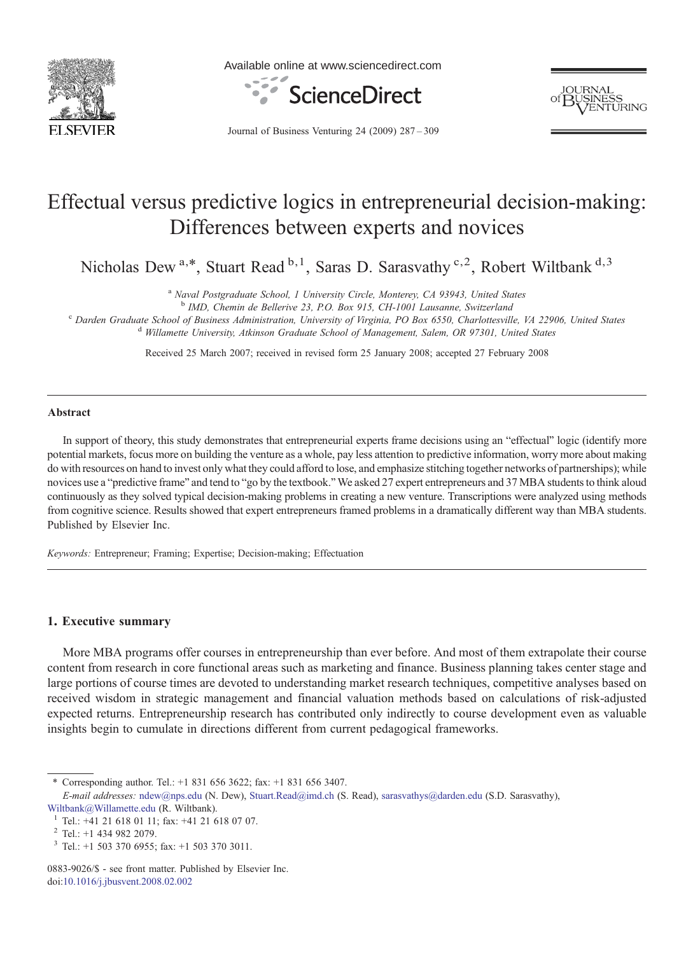

Available online at www.sciencedirect.com





Journal of Business Venturing 24 (2009) 287–309

# Effectual versus predictive logics in entrepreneurial decision-making: Differences between experts and novices

Nicholas Dew<sup>a,\*</sup>, Stuart Read <sup>b,1</sup>, Saras D. Sarasvathy <sup>c,2</sup>, Robert Wiltbank <sup>d,3</sup>

<sup>a</sup> Naval Postgraduate School, 1 University Circle, Monterey, CA 93943, United States

<sup>b</sup> IMD, Chemin de Bellerive 23, P.O. Box 915, CH-1001 Lausanne, Switzerland

<sup>c</sup> Darden Graduate School of Business Administration, University of Virginia, PO Box 6550, Charlottesville, VA 22906, United States<br><sup>d</sup> Willamette University, Atkinson Graduate School of Management, Salem, OR 97301, Unite

Received 25 March 2007; received in revised form 25 January 2008; accepted 27 February 2008

#### **Abstract**

In support of theory, this study demonstrates that entrepreneurial experts frame decisions using an "effectual" logic (identify more potential markets, focus more on building the venture as a whole, pay less attention to predictive information, worry more about making do with resources on hand to invest only what they could afford to lose, and emphasize stitching together networks of partnerships); while novices use a "predictive frame" and tend to "go by the textbook." We asked 27 expert entrepreneurs and 37 MBA students to think aloud continuously as they solved typical decision-making problems in creating a new venture. Transcriptions were analyzed using methods from cognitive science. Results showed that expert entrepreneurs framed problems in a dramatically different way than MBA students. Published by Elsevier Inc.

Keywords: Entrepreneur; Framing; Expertise; Decision-making; Effectuation

#### 1. Executive summary

More MBA programs offer courses in entrepreneurship than ever before. And most of them extrapolate their course content from research in core functional areas such as marketing and finance. Business planning takes center stage and large portions of course times are devoted to understanding market research techniques, competitive analyses based on received wisdom in strategic management and financial valuation methods based on calculations of risk-adjusted expected returns. Entrepreneurship research has contributed only indirectly to course development even as valuable insights begin to cumulate in directions different from current pedagogical frameworks.

⁎ Corresponding author. Tel.: +1 831 656 3622; fax: +1 831 656 3407.

E-mail addresses: [ndew@nps.edu](mailto:ndew@nps.edu) (N. Dew), [Stuart.Read@imd.ch](mailto:Stuart.Read@imd.ch) (S. Read), [sarasvathys@darden.edu](mailto:sarasvathys@darden.edu) (S.D. Sarasvathy),

[Wiltbank@Willamette.edu](mailto:Wiltbank@Willamette.edu) (R. Wiltbank).

0883-9026/\$ - see front matter. Published by Elsevier Inc. doi[:10.1016/j.jbusvent.2008.02.002](http://dx.doi.org/10.1016/j.jbusvent.2008.02.002)

<sup>1</sup> Tel.: +41 21 618 01 11; fax: +41 21 618 07 07.<br>
<sup>2</sup> Tel.: +1 434 982 2079.<br>
<sup>3</sup> Tel.: +1 503 370 6955; fax: +1 503 370 3011.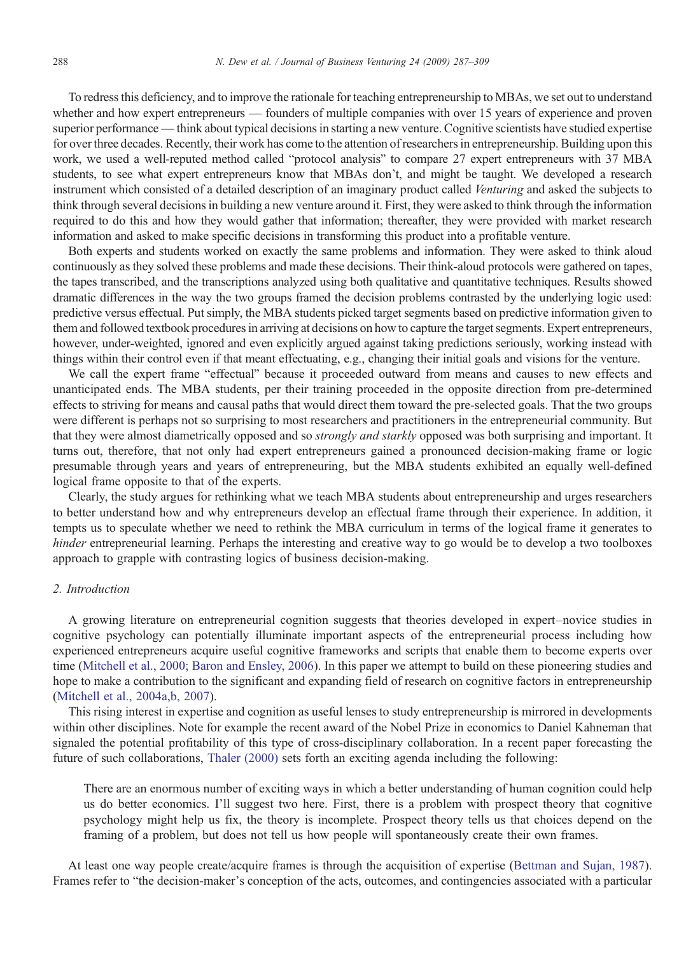To redress this deficiency, and to improve the rationale for teaching entrepreneurship to MBAs, we set out to understand whether and how expert entrepreneurs — founders of multiple companies with over 15 years of experience and proven superior performance — think about typical decisions in starting a new venture. Cognitive scientists have studied expertise for over three decades. Recently, their work has come to the attention of researchers in entrepreneurship. Building upon this work, we used a well-reputed method called "protocol analysis" to compare 27 expert entrepreneurs with 37 MBA students, to see what expert entrepreneurs know that MBAs don't, and might be taught. We developed a research instrument which consisted of a detailed description of an imaginary product called Venturing and asked the subjects to think through several decisions in building a new venture around it. First, they were asked to think through the information required to do this and how they would gather that information; thereafter, they were provided with market research information and asked to make specific decisions in transforming this product into a profitable venture.

Both experts and students worked on exactly the same problems and information. They were asked to think aloud continuously as they solved these problems and made these decisions. Their think-aloud protocols were gathered on tapes, the tapes transcribed, and the transcriptions analyzed using both qualitative and quantitative techniques. Results showed dramatic differences in the way the two groups framed the decision problems contrasted by the underlying logic used: predictive versus effectual. Put simply, the MBA students picked target segments based on predictive information given to them and followed textbook procedures in arriving at decisions on how to capture the target segments. Expert entrepreneurs, however, under-weighted, ignored and even explicitly argued against taking predictions seriously, working instead with things within their control even if that meant effectuating, e.g., changing their initial goals and visions for the venture.

We call the expert frame "effectual" because it proceeded outward from means and causes to new effects and unanticipated ends. The MBA students, per their training proceeded in the opposite direction from pre-determined effects to striving for means and causal paths that would direct them toward the pre-selected goals. That the two groups were different is perhaps not so surprising to most researchers and practitioners in the entrepreneurial community. But that they were almost diametrically opposed and so *strongly and starkly* opposed was both surprising and important. It turns out, therefore, that not only had expert entrepreneurs gained a pronounced decision-making frame or logic presumable through years and years of entrepreneuring, but the MBA students exhibited an equally well-defined logical frame opposite to that of the experts.

Clearly, the study argues for rethinking what we teach MBA students about entrepreneurship and urges researchers to better understand how and why entrepreneurs develop an effectual frame through their experience. In addition, it tempts us to speculate whether we need to rethink the MBA curriculum in terms of the logical frame it generates to hinder entrepreneurial learning. Perhaps the interesting and creative way to go would be to develop a two toolboxes approach to grapple with contrasting logics of business decision-making.

# 2. Introduction

A growing literature on entrepreneurial cognition suggests that theories developed in expert–novice studies in cognitive psychology can potentially illuminate important aspects of the entrepreneurial process including how experienced entrepreneurs acquire useful cognitive frameworks and scripts that enable them to become experts over time [\(Mitchell et al., 2000; Baron and Ensley, 2006](#page-21-0)). In this paper we attempt to build on these pioneering studies and hope to make a contribution to the significant and expanding field of research on cognitive factors in entrepreneurship [\(Mitchell et al., 2004a,b, 2007](#page-21-0)).

This rising interest in expertise and cognition as useful lenses to study entrepreneurship is mirrored in developments within other disciplines. Note for example the recent award of the Nobel Prize in economics to Daniel Kahneman that signaled the potential profitability of this type of cross-disciplinary collaboration. In a recent paper forecasting the future of such collaborations, [Thaler \(2000\)](#page-22-0) sets forth an exciting agenda including the following:

There are an enormous number of exciting ways in which a better understanding of human cognition could help us do better economics. I'll suggest two here. First, there is a problem with prospect theory that cognitive psychology might help us fix, the theory is incomplete. Prospect theory tells us that choices depend on the framing of a problem, but does not tell us how people will spontaneously create their own frames.

At least one way people create/acquire frames is through the acquisition of expertise ([Bettman and Sujan, 1987\)](#page-19-0). Frames refer to "the decision-maker's conception of the acts, outcomes, and contingencies associated with a particular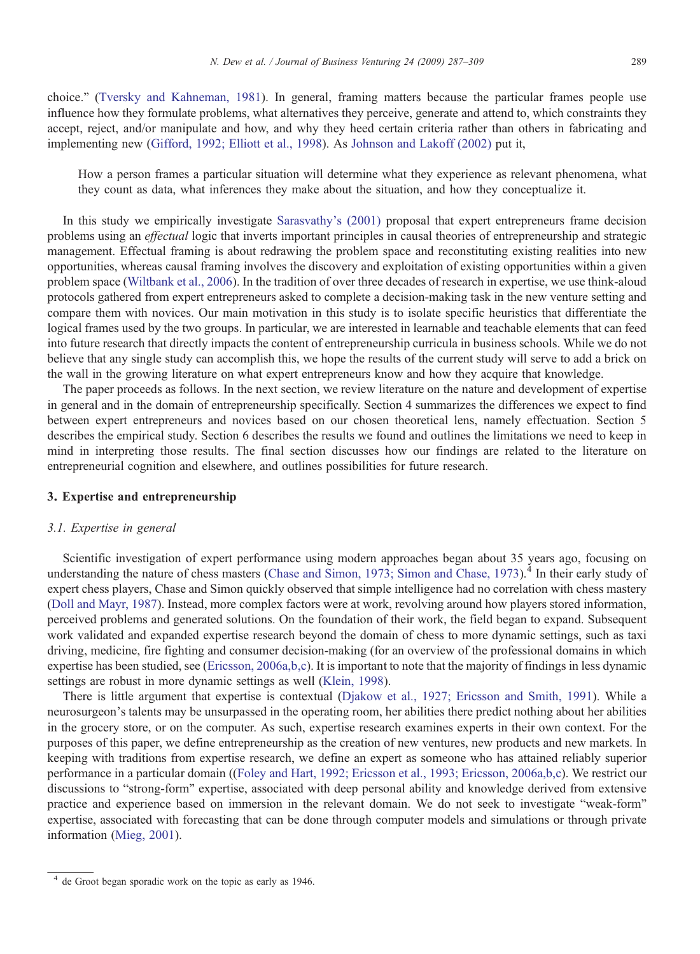choice." [\(Tversky and Kahneman, 1981](#page-22-0)). In general, framing matters because the particular frames people use influence how they formulate problems, what alternatives they perceive, generate and attend to, which constraints they accept, reject, and/or manipulate and how, and why they heed certain criteria rather than others in fabricating and implementing new [\(Gifford, 1992; Elliott et al., 1998\)](#page-20-0). As [Johnson and Lakoff \(2002\)](#page-21-0) put it,

How a person frames a particular situation will determine what they experience as relevant phenomena, what they count as data, what inferences they make about the situation, and how they conceptualize it.

In this study we empirically investigate [Sarasvathy's \(2001\)](#page-21-0) proposal that expert entrepreneurs frame decision problems using an effectual logic that inverts important principles in causal theories of entrepreneurship and strategic management. Effectual framing is about redrawing the problem space and reconstituting existing realities into new opportunities, whereas causal framing involves the discovery and exploitation of existing opportunities within a given problem space [\(Wiltbank et al., 2006\)](#page-22-0). In the tradition of over three decades of research in expertise, we use think-aloud protocols gathered from expert entrepreneurs asked to complete a decision-making task in the new venture setting and compare them with novices. Our main motivation in this study is to isolate specific heuristics that differentiate the logical frames used by the two groups. In particular, we are interested in learnable and teachable elements that can feed into future research that directly impacts the content of entrepreneurship curricula in business schools. While we do not believe that any single study can accomplish this, we hope the results of the current study will serve to add a brick on the wall in the growing literature on what expert entrepreneurs know and how they acquire that knowledge.

The paper proceeds as follows. In the next section, we review literature on the nature and development of expertise in general and in the domain of entrepreneurship specifically. Section 4 summarizes the differences we expect to find between expert entrepreneurs and novices based on our chosen theoretical lens, namely effectuation. Section 5 describes the empirical study. Section 6 describes the results we found and outlines the limitations we need to keep in mind in interpreting those results. The final section discusses how our findings are related to the literature on entrepreneurial cognition and elsewhere, and outlines possibilities for future research.

#### 3. Expertise and entrepreneurship

#### 3.1. Expertise in general

Scientific investigation of expert performance using modern approaches began about 35 years ago, focusing on understanding the nature of chess masters ([Chase and Simon, 1973; Simon and Chase, 1973](#page-20-0)).<sup>4</sup> In their early study of expert chess players, Chase and Simon quickly observed that simple intelligence had no correlation with chess mastery [\(Doll and Mayr, 1987](#page-20-0)). Instead, more complex factors were at work, revolving around how players stored information, perceived problems and generated solutions. On the foundation of their work, the field began to expand. Subsequent work validated and expanded expertise research beyond the domain of chess to more dynamic settings, such as taxi driving, medicine, fire fighting and consumer decision-making (for an overview of the professional domains in which expertise has been studied, see [\(Ericsson, 2006a,b,c](#page-20-0)). It is important to note that the majority of findings in less dynamic settings are robust in more dynamic settings as well [\(Klein, 1998\)](#page-21-0).

There is little argument that expertise is contextual [\(Djakow et al., 1927; Ericsson and Smith, 1991](#page-20-0)). While a neurosurgeon's talents may be unsurpassed in the operating room, her abilities there predict nothing about her abilities in the grocery store, or on the computer. As such, expertise research examines experts in their own context. For the purposes of this paper, we define entrepreneurship as the creation of new ventures, new products and new markets. In keeping with traditions from expertise research, we define an expert as someone who has attained reliably superior performance in a particular domain (([Foley and Hart, 1992; Ericsson et al., 1993; Ericsson, 2006a,b,c\)](#page-20-0). We restrict our discussions to "strong-form" expertise, associated with deep personal ability and knowledge derived from extensive practice and experience based on immersion in the relevant domain. We do not seek to investigate "weak-form" expertise, associated with forecasting that can be done through computer models and simulations or through private information ([Mieg, 2001](#page-21-0)).

<sup>&</sup>lt;sup>4</sup> de Groot began sporadic work on the topic as early as 1946.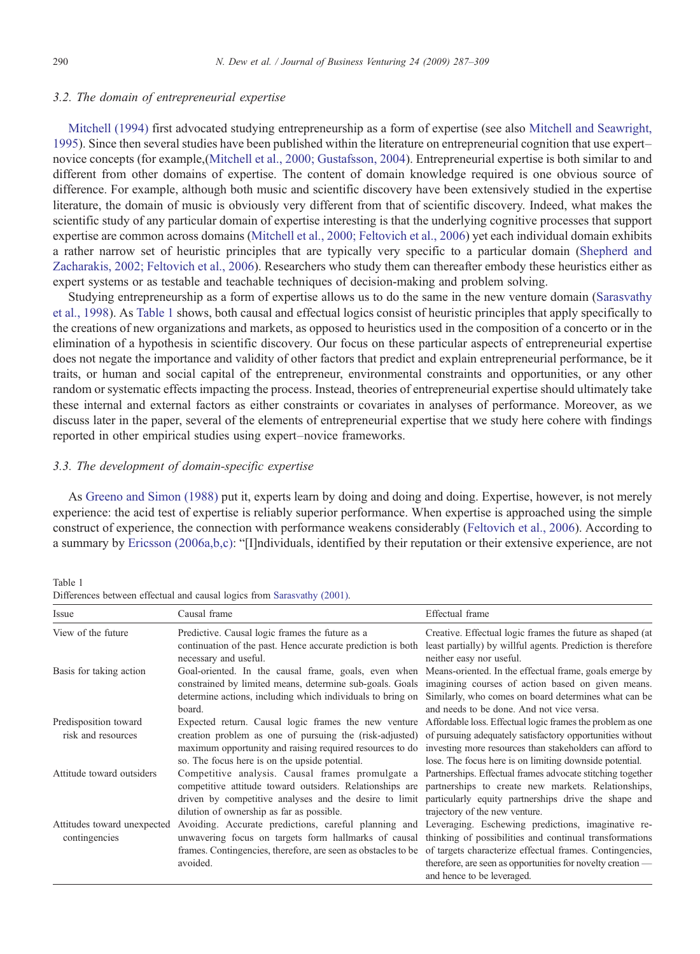#### <span id="page-3-0"></span>3.2. The domain of entrepreneurial expertise

[Mitchell \(1994\)](#page-21-0) first advocated studying entrepreneurship as a form of expertise (see also [Mitchell and Seawright,](#page-21-0) [1995](#page-21-0)). Since then several studies have been published within the literature on entrepreneurial cognition that use expert– novice concepts (for example,([Mitchell et al., 2000; Gustafsson, 2004\)](#page-21-0). Entrepreneurial expertise is both similar to and different from other domains of expertise. The content of domain knowledge required is one obvious source of difference. For example, although both music and scientific discovery have been extensively studied in the expertise literature, the domain of music is obviously very different from that of scientific discovery. Indeed, what makes the scientific study of any particular domain of expertise interesting is that the underlying cognitive processes that support expertise are common across domains ([Mitchell et al., 2000; Feltovich et al., 2006](#page-21-0)) yet each individual domain exhibits a rather narrow set of heuristic principles that are typically very specific to a particular domain [\(Shepherd and](#page-22-0) [Zacharakis, 2002; Feltovich et al., 2006\)](#page-22-0). Researchers who study them can thereafter embody these heuristics either as expert systems or as testable and teachable techniques of decision-making and problem solving.

Studying entrepreneurship as a form of expertise allows us to do the same in the new venture domain ([Sarasvathy](#page-21-0) [et al., 1998\)](#page-21-0). As Table 1 shows, both causal and effectual logics consist of heuristic principles that apply specifically to the creations of new organizations and markets, as opposed to heuristics used in the composition of a concerto or in the elimination of a hypothesis in scientific discovery. Our focus on these particular aspects of entrepreneurial expertise does not negate the importance and validity of other factors that predict and explain entrepreneurial performance, be it traits, or human and social capital of the entrepreneur, environmental constraints and opportunities, or any other random or systematic effects impacting the process. Instead, theories of entrepreneurial expertise should ultimately take these internal and external factors as either constraints or covariates in analyses of performance. Moreover, as we discuss later in the paper, several of the elements of entrepreneurial expertise that we study here cohere with findings reported in other empirical studies using expert–novice frameworks.

#### 3.3. The development of domain-specific expertise

As [Greeno and Simon \(1988\)](#page-20-0) put it, experts learn by doing and doing and doing. Expertise, however, is not merely experience: the acid test of expertise is reliably superior performance. When expertise is approached using the simple construct of experience, the connection with performance weakens considerably ([Feltovich et al., 2006](#page-20-0)). According to a summary by [Ericsson \(2006a,b,c\)](#page-20-0): "[I]ndividuals, identified by their reputation or their extensive experience, are not

Table 1

| Issue                                        | Causal frame                                                                                                                                                                                                                                                                                                                                                                                                | Effectual frame                                                                                                                                      |
|----------------------------------------------|-------------------------------------------------------------------------------------------------------------------------------------------------------------------------------------------------------------------------------------------------------------------------------------------------------------------------------------------------------------------------------------------------------------|------------------------------------------------------------------------------------------------------------------------------------------------------|
| View of the future                           | Predictive. Causal logic frames the future as a<br>continuation of the past. Hence accurate prediction is both<br>necessary and useful.                                                                                                                                                                                                                                                                     | Creative. Effectual logic frames the future as shaped (at<br>least partially) by willful agents. Prediction is therefore<br>neither easy nor useful. |
| Basis for taking action                      | Goal-oriented. In the causal frame, goals, even when Means-oriented. In the effectual frame, goals emerge by<br>constrained by limited means, determine sub-goals. Goals imagining courses of action based on given means.<br>determine actions, including which individuals to bring on<br>board.                                                                                                          | Similarly, who comes on board determines what can be<br>and needs to be done. And not vice versa.                                                    |
| Predisposition toward<br>risk and resources  | Expected return. Causal logic frames the new venture Affordable loss. Effectual logic frames the problem as one<br>creation problem as one of pursuing the (risk-adjusted) of pursuing adequately satisfactory opportunities without<br>maximum opportunity and raising required resources to do investing more resources than stakeholders can afford to<br>so. The focus here is on the upside potential. | lose. The focus here is on limiting downside potential.                                                                                              |
| Attitude toward outsiders                    | Competitive analysis. Causal frames promulgate a Partnerships. Effectual frames advocate stitching together<br>competitive attitude toward outsiders. Relationships are partnerships to create new markets. Relationships,<br>driven by competitive analyses and the desire to limit particularly equity partnerships drive the shape and<br>dilution of ownership as far as possible.                      | trajectory of the new venture.                                                                                                                       |
| Attitudes toward unexpected<br>contingencies | Avoiding. Accurate predictions, careful planning and Leveraging. Eschewing predictions, imaginative re-<br>unwavering focus on targets form hallmarks of causal thinking of possibilities and continual transformations<br>frames. Contingencies, therefore, are seen as obstacles to be of targets characterize effectual frames. Contingencies,<br>avoided.                                               | therefore, are seen as opportunities for novelty creation —<br>and hence to be leveraged.                                                            |

Differences between effectual and causal logics from [Sarasvathy \(2001\).](#page-21-0)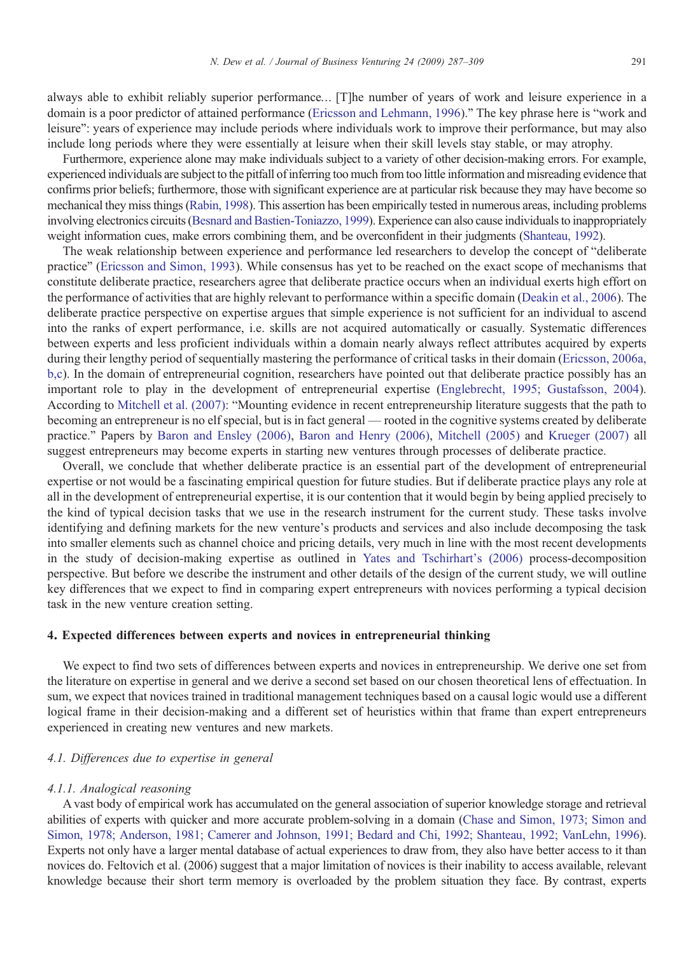always able to exhibit reliably superior performance… [T]he number of years of work and leisure experience in a domain is a poor predictor of attained performance ([Ericsson and Lehmann, 1996](#page-20-0))." The key phrase here is "work and leisure": years of experience may include periods where individuals work to improve their performance, but may also include long periods where they were essentially at leisure when their skill levels stay stable, or may atrophy.

Furthermore, experience alone may make individuals subject to a variety of other decision-making errors. For example, experienced individuals are subject to the pitfall of inferring too much from too little information and misreading evidence that confirms prior beliefs; furthermore, those with significant experience are at particular risk because they may have become so mechanical they miss things [\(Rabin, 1998\)](#page-21-0). This assertion has been empirically tested in numerous areas, including problems involving electronics circuits [\(Besnard and Bastien-Toniazzo, 1999\)](#page-19-0). Experience can also cause individuals to inappropriately weight information cues, make errors combining them, and be overconfident in their judgments [\(Shanteau, 1992\)](#page-21-0).

The weak relationship between experience and performance led researchers to develop the concept of "deliberate practice" [\(Ericsson and Simon, 1993](#page-20-0)). While consensus has yet to be reached on the exact scope of mechanisms that constitute deliberate practice, researchers agree that deliberate practice occurs when an individual exerts high effort on the performance of activities that are highly relevant to performance within a specific domain ([Deakin et al., 2006\)](#page-20-0). The deliberate practice perspective on expertise argues that simple experience is not sufficient for an individual to ascend into the ranks of expert performance, i.e. skills are not acquired automatically or casually. Systematic differences between experts and less proficient individuals within a domain nearly always reflect attributes acquired by experts during their lengthy period of sequentially mastering the performance of critical tasks in their domain ([Ericsson, 2006a,](#page-20-0) [b,c\)](#page-20-0). In the domain of entrepreneurial cognition, researchers have pointed out that deliberate practice possibly has an important role to play in the development of entrepreneurial expertise ([Englebrecht, 1995; Gustafsson, 2004](#page-20-0)). According to [Mitchell et al. \(2007\)](#page-21-0): "Mounting evidence in recent entrepreneurship literature suggests that the path to becoming an entrepreneur is no elf special, but is in fact general — rooted in the cognitive systems created by deliberate practice." Papers by [Baron and Ensley \(2006\)](#page-19-0), [Baron and Henry \(2006\)](#page-19-0), [Mitchell \(2005\)](#page-21-0) and [Krueger \(2007\)](#page-21-0) all suggest entrepreneurs may become experts in starting new ventures through processes of deliberate practice.

Overall, we conclude that whether deliberate practice is an essential part of the development of entrepreneurial expertise or not would be a fascinating empirical question for future studies. But if deliberate practice plays any role at all in the development of entrepreneurial expertise, it is our contention that it would begin by being applied precisely to the kind of typical decision tasks that we use in the research instrument for the current study. These tasks involve identifying and defining markets for the new venture's products and services and also include decomposing the task into smaller elements such as channel choice and pricing details, very much in line with the most recent developments in the study of decision-making expertise as outlined in [Yates and Tschirhart's \(2006\)](#page-22-0) process-decomposition perspective. But before we describe the instrument and other details of the design of the current study, we will outline key differences that we expect to find in comparing expert entrepreneurs with novices performing a typical decision task in the new venture creation setting.

#### 4. Expected differences between experts and novices in entrepreneurial thinking

We expect to find two sets of differences between experts and novices in entrepreneurship. We derive one set from the literature on expertise in general and we derive a second set based on our chosen theoretical lens of effectuation. In sum, we expect that novices trained in traditional management techniques based on a causal logic would use a different logical frame in their decision-making and a different set of heuristics within that frame than expert entrepreneurs experienced in creating new ventures and new markets.

# 4.1. Differences due to expertise in general

#### 4.1.1. Analogical reasoning

A vast body of empirical work has accumulated on the general association of superior knowledge storage and retrieval abilities of experts with quicker and more accurate problem-solving in a domain [\(Chase and Simon, 1973; Simon and](#page-20-0) [Simon, 1978; Anderson, 1981; Camerer and Johnson, 1991; Bedard and Chi, 1992; Shanteau, 1992; VanLehn, 1996](#page-20-0)). Experts not only have a larger mental database of actual experiences to draw from, they also have better access to it than novices do. Feltovich et al. (2006) suggest that a major limitation of novices is their inability to access available, relevant knowledge because their short term memory is overloaded by the problem situation they face. By contrast, experts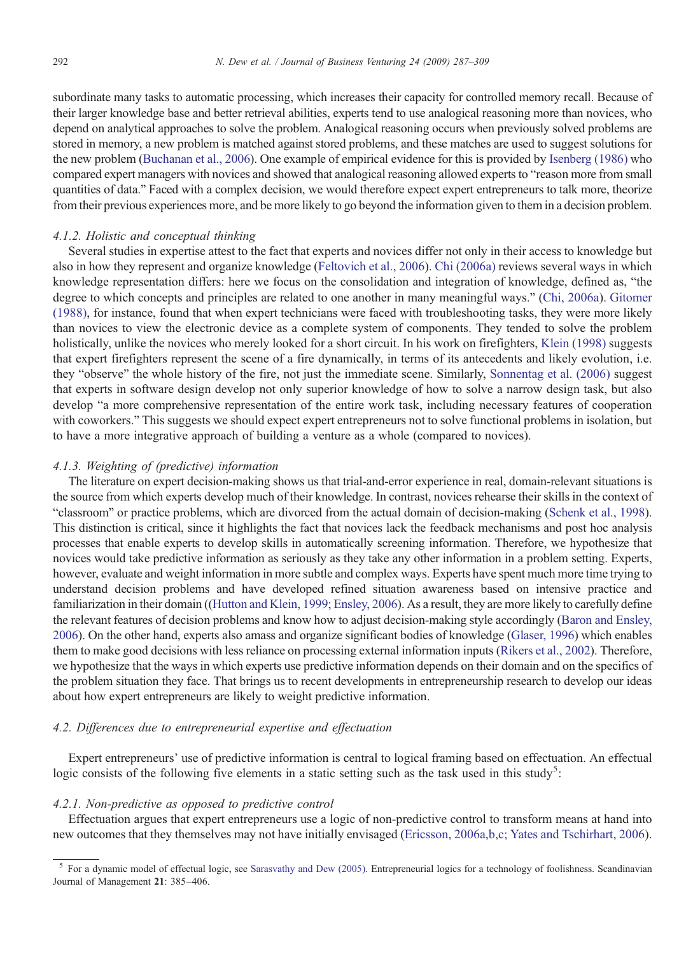subordinate many tasks to automatic processing, which increases their capacity for controlled memory recall. Because of their larger knowledge base and better retrieval abilities, experts tend to use analogical reasoning more than novices, who depend on analytical approaches to solve the problem. Analogical reasoning occurs when previously solved problems are stored in memory, a new problem is matched against stored problems, and these matches are used to suggest solutions for the new problem [\(Buchanan et al., 2006\)](#page-19-0). One example of empirical evidence for this is provided by [Isenberg \(1986\)](#page-21-0) who compared expert managers with novices and showed that analogical reasoning allowed experts to "reason more from small quantities of data." Faced with a complex decision, we would therefore expect expert entrepreneurs to talk more, theorize from their previous experiences more, and be more likely to go beyond the information given to them in a decision problem.

#### 4.1.2. Holistic and conceptual thinking

Several studies in expertise attest to the fact that experts and novices differ not only in their access to knowledge but also in how they represent and organize knowledge ([Feltovich et al., 2006](#page-20-0)). [Chi \(2006a\)](#page-20-0) reviews several ways in which knowledge representation differs: here we focus on the consolidation and integration of knowledge, defined as, "the degree to which concepts and principles are related to one another in many meaningful ways." [\(Chi, 2006a](#page-20-0)). [Gitomer](#page-20-0) [\(1988\),](#page-20-0) for instance, found that when expert technicians were faced with troubleshooting tasks, they were more likely than novices to view the electronic device as a complete system of components. They tended to solve the problem holistically, unlike the novices who merely looked for a short circuit. In his work on firefighters, [Klein \(1998\)](#page-21-0) suggests that expert firefighters represent the scene of a fire dynamically, in terms of its antecedents and likely evolution, i.e. they "observe" the whole history of the fire, not just the immediate scene. Similarly, [Sonnentag et al. \(2006\)](#page-22-0) suggest that experts in software design develop not only superior knowledge of how to solve a narrow design task, but also develop "a more comprehensive representation of the entire work task, including necessary features of cooperation with coworkers." This suggests we should expect expert entrepreneurs not to solve functional problems in isolation, but to have a more integrative approach of building a venture as a whole (compared to novices).

#### 4.1.3. Weighting of (predictive) information

The literature on expert decision-making shows us that trial-and-error experience in real, domain-relevant situations is the source from which experts develop much of their knowledge. In contrast, novices rehearse their skills in the context of "classroom" or practice problems, which are divorced from the actual domain of decision-making [\(Schenk et al., 1998\)](#page-21-0). This distinction is critical, since it highlights the fact that novices lack the feedback mechanisms and post hoc analysis processes that enable experts to develop skills in automatically screening information. Therefore, we hypothesize that novices would take predictive information as seriously as they take any other information in a problem setting. Experts, however, evaluate and weight information in more subtle and complex ways. Experts have spent much more time trying to understand decision problems and have developed refined situation awareness based on intensive practice and familiarization in their domain ([\(Hutton and Klein, 1999; Ensley, 2006](#page-21-0)). As a result, they are more likely to carefully define the relevant features of decision problems and know how to adjust decision-making style accordingly ([Baron and Ensley,](#page-19-0) [2006\)](#page-19-0). On the other hand, experts also amass and organize significant bodies of knowledge ([Glaser, 1996\)](#page-20-0) which enables them to make good decisions with less reliance on processing external information inputs [\(Rikers et al., 2002](#page-21-0)). Therefore, we hypothesize that the ways in which experts use predictive information depends on their domain and on the specifics of the problem situation they face. That brings us to recent developments in entrepreneurship research to develop our ideas about how expert entrepreneurs are likely to weight predictive information.

### 4.2. Differences due to entrepreneurial expertise and effectuation

Expert entrepreneurs' use of predictive information is central to logical framing based on effectuation. An effectual logic consists of the following five elements in a static setting such as the task used in this study<sup>5</sup>:

#### 4.2.1. Non-predictive as opposed to predictive control

Effectuation argues that expert entrepreneurs use a logic of non-predictive control to transform means at hand into new outcomes that they themselves may not have initially envisaged ([Ericsson, 2006a,b,c; Yates and Tschirhart, 2006\)](#page-20-0).

<sup>5</sup> For a dynamic model of effectual logic, see [Sarasvathy and Dew \(2005\)](#page-21-0). Entrepreneurial logics for a technology of foolishness. Scandinavian Journal of Management 21: 385–406.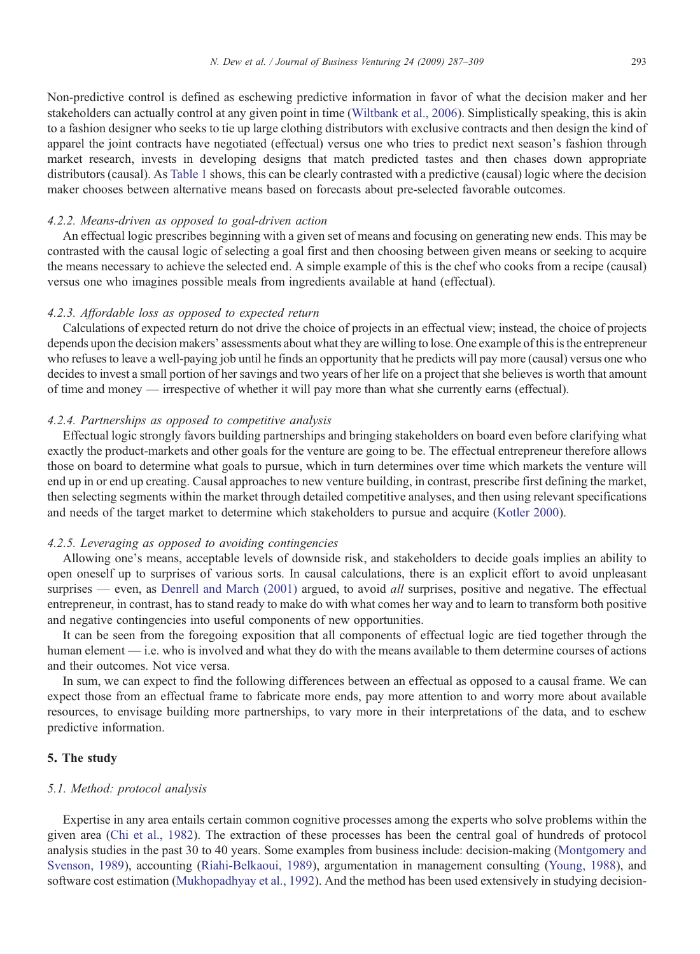Non-predictive control is defined as eschewing predictive information in favor of what the decision maker and her stakeholders can actually control at any given point in time ([Wiltbank et al., 2006\)](#page-22-0). Simplistically speaking, this is akin to a fashion designer who seeks to tie up large clothing distributors with exclusive contracts and then design the kind of apparel the joint contracts have negotiated (effectual) versus one who tries to predict next season's fashion through market research, invests in developing designs that match predicted tastes and then chases down appropriate distributors (causal). As [Table 1](#page-3-0) shows, this can be clearly contrasted with a predictive (causal) logic where the decision maker chooses between alternative means based on forecasts about pre-selected favorable outcomes.

# 4.2.2. Means-driven as opposed to goal-driven action

An effectual logic prescribes beginning with a given set of means and focusing on generating new ends. This may be contrasted with the causal logic of selecting a goal first and then choosing between given means or seeking to acquire the means necessary to achieve the selected end. A simple example of this is the chef who cooks from a recipe (causal) versus one who imagines possible meals from ingredients available at hand (effectual).

#### 4.2.3. Affordable loss as opposed to expected return

Calculations of expected return do not drive the choice of projects in an effectual view; instead, the choice of projects depends upon the decision makers' assessments about what they are willing to lose. One example of this is the entrepreneur who refuses to leave a well-paying job until he finds an opportunity that he predicts will pay more (causal) versus one who decides to invest a small portion of her savings and two years of her life on a project that she believes is worth that amount of time and money — irrespective of whether it will pay more than what she currently earns (effectual).

# 4.2.4. Partnerships as opposed to competitive analysis

Effectual logic strongly favors building partnerships and bringing stakeholders on board even before clarifying what exactly the product-markets and other goals for the venture are going to be. The effectual entrepreneur therefore allows those on board to determine what goals to pursue, which in turn determines over time which markets the venture will end up in or end up creating. Causal approaches to new venture building, in contrast, prescribe first defining the market, then selecting segments within the market through detailed competitive analyses, and then using relevant specifications and needs of the target market to determine which stakeholders to pursue and acquire ([Kotler 2000\)](#page-21-0).

#### 4.2.5. Leveraging as opposed to avoiding contingencies

Allowing one's means, acceptable levels of downside risk, and stakeholders to decide goals implies an ability to open oneself up to surprises of various sorts. In causal calculations, there is an explicit effort to avoid unpleasant surprises — even, as [Denrell and March \(2001\)](#page-20-0) argued, to avoid *all* surprises, positive and negative. The effectual entrepreneur, in contrast, has to stand ready to make do with what comes her way and to learn to transform both positive and negative contingencies into useful components of new opportunities.

It can be seen from the foregoing exposition that all components of effectual logic are tied together through the human element — i.e. who is involved and what they do with the means available to them determine courses of actions and their outcomes. Not vice versa.

In sum, we can expect to find the following differences between an effectual as opposed to a causal frame. We can expect those from an effectual frame to fabricate more ends, pay more attention to and worry more about available resources, to envisage building more partnerships, to vary more in their interpretations of the data, and to eschew predictive information.

# 5. The study

#### 5.1. Method: protocol analysis

Expertise in any area entails certain common cognitive processes among the experts who solve problems within the given area ([Chi et al., 1982\)](#page-20-0). The extraction of these processes has been the central goal of hundreds of protocol analysis studies in the past 30 to 40 years. Some examples from business include: decision-making [\(Montgomery and](#page-21-0) [Svenson, 1989\)](#page-21-0), accounting [\(Riahi-Belkaoui, 1989](#page-21-0)), argumentation in management consulting ([Young, 1988](#page-22-0)), and software cost estimation [\(Mukhopadhyay et al., 1992\)](#page-21-0). And the method has been used extensively in studying decision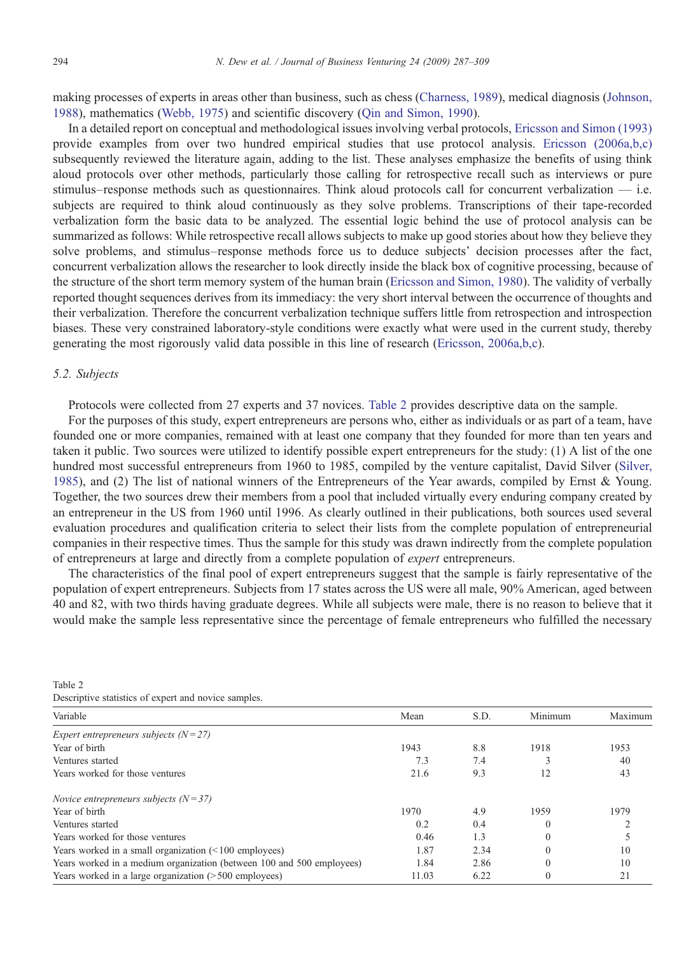making processes of experts in areas other than business, such as chess [\(Charness, 1989\)](#page-19-0), medical diagnosis [\(Johnson,](#page-21-0) [1988](#page-21-0)), mathematics ([Webb, 1975](#page-22-0)) and scientific discovery [\(Qin and Simon, 1990](#page-21-0)).

In a detailed report on conceptual and methodological issues involving verbal protocols, [Ericsson and Simon \(1993\)](#page-20-0) provide examples from over two hundred empirical studies that use protocol analysis. [Ericsson \(2006a,b,c\)](#page-20-0) subsequently reviewed the literature again, adding to the list. These analyses emphasize the benefits of using think aloud protocols over other methods, particularly those calling for retrospective recall such as interviews or pure stimulus–response methods such as questionnaires. Think aloud protocols call for concurrent verbalization  $-$  i.e. subjects are required to think aloud continuously as they solve problems. Transcriptions of their tape-recorded verbalization form the basic data to be analyzed. The essential logic behind the use of protocol analysis can be summarized as follows: While retrospective recall allows subjects to make up good stories about how they believe they solve problems, and stimulus–response methods force us to deduce subjects' decision processes after the fact, concurrent verbalization allows the researcher to look directly inside the black box of cognitive processing, because of the structure of the short term memory system of the human brain [\(Ericsson and Simon, 1980\)](#page-20-0). The validity of verbally reported thought sequences derives from its immediacy: the very short interval between the occurrence of thoughts and their verbalization. Therefore the concurrent verbalization technique suffers little from retrospection and introspection biases. These very constrained laboratory-style conditions were exactly what were used in the current study, thereby generating the most rigorously valid data possible in this line of research [\(Ericsson, 2006a,b,c](#page-20-0)).

#### 5.2. Subjects

Table 2

Protocols were collected from 27 experts and 37 novices. Table 2 provides descriptive data on the sample.

For the purposes of this study, expert entrepreneurs are persons who, either as individuals or as part of a team, have founded one or more companies, remained with at least one company that they founded for more than ten years and taken it public. Two sources were utilized to identify possible expert entrepreneurs for the study: (1) A list of the one hundred most successful entrepreneurs from 1960 to 1985, compiled by the venture capitalist, David Silver ([Silver,](#page-22-0) [1985](#page-22-0)), and (2) The list of national winners of the Entrepreneurs of the Year awards, compiled by Ernst & Young. Together, the two sources drew their members from a pool that included virtually every enduring company created by an entrepreneur in the US from 1960 until 1996. As clearly outlined in their publications, both sources used several evaluation procedures and qualification criteria to select their lists from the complete population of entrepreneurial companies in their respective times. Thus the sample for this study was drawn indirectly from the complete population of entrepreneurs at large and directly from a complete population of expert entrepreneurs.

The characteristics of the final pool of expert entrepreneurs suggest that the sample is fairly representative of the population of expert entrepreneurs. Subjects from 17 states across the US were all male, 90% American, aged between 40 and 82, with two thirds having graduate degrees. While all subjects were male, there is no reason to believe that it would make the sample less representative since the percentage of female entrepreneurs who fulfilled the necessary

| Variable                                                              | Mean  | S.D. | Minimum | Maximum |
|-----------------------------------------------------------------------|-------|------|---------|---------|
| Expert entrepreneurs subjects $(N=27)$                                |       |      |         |         |
| Year of birth                                                         | 1943  | 8.8  | 1918    | 1953    |
| Ventures started                                                      | 7.3   | 7.4  |         | 40      |
| Years worked for those ventures                                       | 21.6  | 9.3  | 12      | 43      |
| Novice entrepreneurs subjects $(N=37)$                                |       |      |         |         |
| Year of birth                                                         | 1970  | 4.9  | 1959    | 1979    |
| Ventures started                                                      | 0.2   | 0.4  |         |         |
| Years worked for those ventures                                       | 0.46  | 1.3  |         |         |
| Years worked in a small organization $($ < $\leq$ 100 employees)      | 1.87  | 2.34 |         | 10      |
| Years worked in a medium organization (between 100 and 500 employees) | 1.84  | 2.86 |         | 10      |
| Years worked in a large organization (>500 employees)                 | 11.03 | 6.22 |         | 21      |

Descriptive statistics of expert and novice samples.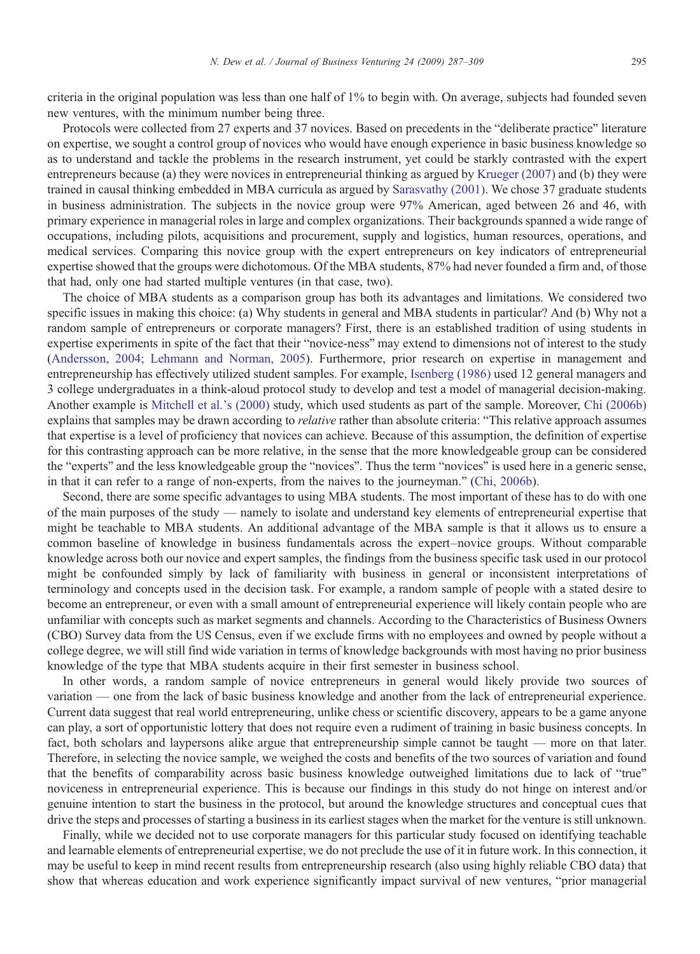criteria in the original population was less than one half of 1% to begin with. On average, subjects had founded seven new ventures, with the minimum number being three.

Protocols were collected from 27 experts and 37 novices. Based on precedents in the "deliberate practice" literature on expertise, we sought a control group of novices who would have enough experience in basic business knowledge so as to understand and tackle the problems in the research instrument, yet could be starkly contrasted with the expert entrepreneurs because (a) they were novices in entrepreneurial thinking as argued by [Krueger \(2007\)](#page-21-0) and (b) they were trained in causal thinking embedded in MBA curricula as argued by [Sarasvathy \(2001\)](#page-21-0). We chose 37 graduate students in business administration. The subjects in the novice group were 97% American, aged between 26 and 46, with primary experience in managerial roles in large and complex organizations. Their backgrounds spanned a wide range of occupations, including pilots, acquisitions and procurement, supply and logistics, human resources, operations, and medical services. Comparing this novice group with the expert entrepreneurs on key indicators of entrepreneurial expertise showed that the groups were dichotomous. Of the MBA students, 87% had never founded a firm and, of those that had, only one had started multiple ventures (in that case, two).

The choice of MBA students as a comparison group has both its advantages and limitations. We considered two specific issues in making this choice: (a) Why students in general and MBA students in particular? And (b) Why not a random sample of entrepreneurs or corporate managers? First, there is an established tradition of using students in expertise experiments in spite of the fact that their "novice-ness" may extend to dimensions not of interest to the study [\(Andersson, 2004; Lehmann and Norman, 2005\)](#page-19-0). Furthermore, prior research on expertise in management and entrepreneurship has effectively utilized student samples. For example, [Isenberg \(1986\)](#page-21-0) used 12 general managers and 3 college undergraduates in a think-aloud protocol study to develop and test a model of managerial decision-making. Another example is [Mitchell et al.'s \(2000\)](#page-21-0) study, which used students as part of the sample. Moreover, [Chi \(2006b\)](#page-20-0) explains that samples may be drawn according to *relative* rather than absolute criteria: "This relative approach assumes that expertise is a level of proficiency that novices can achieve. Because of this assumption, the definition of expertise for this contrasting approach can be more relative, in the sense that the more knowledgeable group can be considered the "experts" and the less knowledgeable group the "novices". Thus the term "novices" is used here in a generic sense, in that it can refer to a range of non-experts, from the naives to the journeyman." [\(Chi, 2006b](#page-20-0)).

Second, there are some specific advantages to using MBA students. The most important of these has to do with one of the main purposes of the study — namely to isolate and understand key elements of entrepreneurial expertise that might be teachable to MBA students. An additional advantage of the MBA sample is that it allows us to ensure a common baseline of knowledge in business fundamentals across the expert–novice groups. Without comparable knowledge across both our novice and expert samples, the findings from the business specific task used in our protocol might be confounded simply by lack of familiarity with business in general or inconsistent interpretations of terminology and concepts used in the decision task. For example, a random sample of people with a stated desire to become an entrepreneur, or even with a small amount of entrepreneurial experience will likely contain people who are unfamiliar with concepts such as market segments and channels. According to the Characteristics of Business Owners (CBO) Survey data from the US Census, even if we exclude firms with no employees and owned by people without a college degree, we will still find wide variation in terms of knowledge backgrounds with most having no prior business knowledge of the type that MBA students acquire in their first semester in business school.

In other words, a random sample of novice entrepreneurs in general would likely provide two sources of variation — one from the lack of basic business knowledge and another from the lack of entrepreneurial experience. Current data suggest that real world entrepreneuring, unlike chess or scientific discovery, appears to be a game anyone can play, a sort of opportunistic lottery that does not require even a rudiment of training in basic business concepts. In fact, both scholars and laypersons alike argue that entrepreneurship simple cannot be taught — more on that later. Therefore, in selecting the novice sample, we weighed the costs and benefits of the two sources of variation and found that the benefits of comparability across basic business knowledge outweighed limitations due to lack of "true" noviceness in entrepreneurial experience. This is because our findings in this study do not hinge on interest and/or genuine intention to start the business in the protocol, but around the knowledge structures and conceptual cues that drive the steps and processes of starting a business in its earliest stages when the market for the venture is still unknown.

Finally, while we decided not to use corporate managers for this particular study focused on identifying teachable and learnable elements of entrepreneurial expertise, we do not preclude the use of it in future work. In this connection, it may be useful to keep in mind recent results from entrepreneurship research (also using highly reliable CBO data) that show that whereas education and work experience significantly impact survival of new ventures, "prior managerial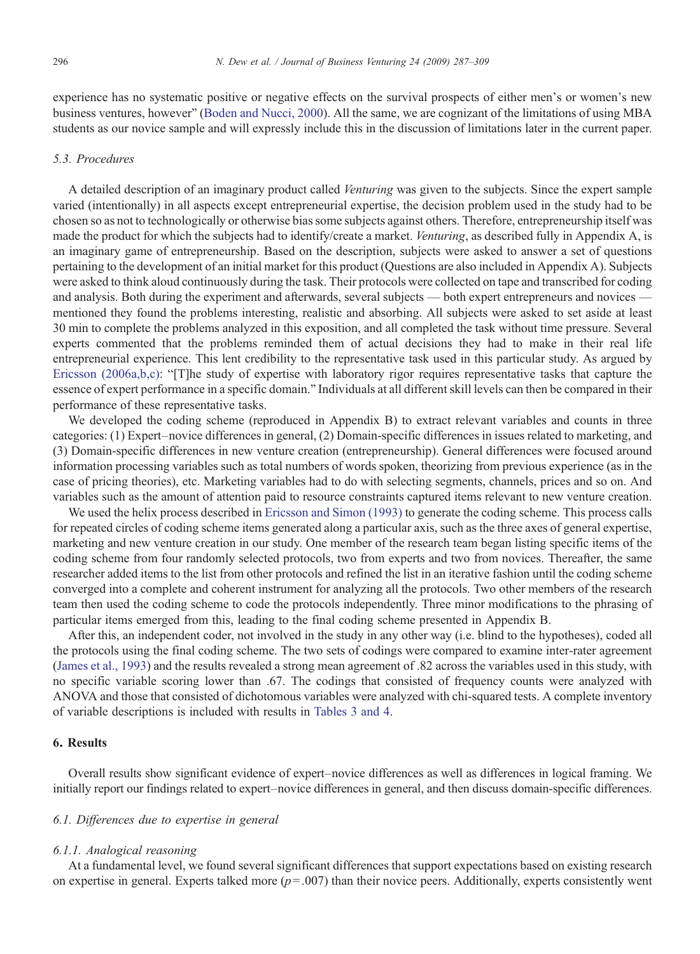experience has no systematic positive or negative effects on the survival prospects of either men's or women's new business ventures, however" ([Boden and Nucci, 2000](#page-19-0)). All the same, we are cognizant of the limitations of using MBA students as our novice sample and will expressly include this in the discussion of limitations later in the current paper.

# 5.3. Procedures

A detailed description of an imaginary product called Venturing was given to the subjects. Since the expert sample varied (intentionally) in all aspects except entrepreneurial expertise, the decision problem used in the study had to be chosen so as not to technologically or otherwise bias some subjects against others. Therefore, entrepreneurship itself was made the product for which the subjects had to identify/create a market. Venturing, as described fully in Appendix A, is an imaginary game of entrepreneurship. Based on the description, subjects were asked to answer a set of questions pertaining to the development of an initial market for this product (Questions are also included in Appendix A). Subjects were asked to think aloud continuously during the task. Their protocols were collected on tape and transcribed for coding and analysis. Both during the experiment and afterwards, several subjects — both expert entrepreneurs and novices mentioned they found the problems interesting, realistic and absorbing. All subjects were asked to set aside at least 30 min to complete the problems analyzed in this exposition, and all completed the task without time pressure. Several experts commented that the problems reminded them of actual decisions they had to make in their real life entrepreneurial experience. This lent credibility to the representative task used in this particular study. As argued by [Ericsson \(2006a,b,c\)](#page-20-0): "[T]he study of expertise with laboratory rigor requires representative tasks that capture the essence of expert performance in a specific domain." Individuals at all different skill levels can then be compared in their performance of these representative tasks.

We developed the coding scheme (reproduced in Appendix B) to extract relevant variables and counts in three categories: (1) Expert–novice differences in general, (2) Domain-specific differences in issues related to marketing, and (3) Domain-specific differences in new venture creation (entrepreneurship). General differences were focused around information processing variables such as total numbers of words spoken, theorizing from previous experience (as in the case of pricing theories), etc. Marketing variables had to do with selecting segments, channels, prices and so on. And variables such as the amount of attention paid to resource constraints captured items relevant to new venture creation.

We used the helix process described in [Ericsson and Simon \(1993\)](#page-20-0) to generate the coding scheme. This process calls for repeated circles of coding scheme items generated along a particular axis, such as the three axes of general expertise, marketing and new venture creation in our study. One member of the research team began listing specific items of the coding scheme from four randomly selected protocols, two from experts and two from novices. Thereafter, the same researcher added items to the list from other protocols and refined the list in an iterative fashion until the coding scheme converged into a complete and coherent instrument for analyzing all the protocols. Two other members of the research team then used the coding scheme to code the protocols independently. Three minor modifications to the phrasing of particular items emerged from this, leading to the final coding scheme presented in Appendix B.

After this, an independent coder, not involved in the study in any other way (i.e. blind to the hypotheses), coded all the protocols using the final coding scheme. The two sets of codings were compared to examine inter-rater agreement [\(James et al., 1993](#page-21-0)) and the results revealed a strong mean agreement of .82 across the variables used in this study, with no specific variable scoring lower than .67. The codings that consisted of frequency counts were analyzed with ANOVA and those that consisted of dichotomous variables were analyzed with chi-squared tests. A complete inventory of variable descriptions is included with results in [Tables 3 and 4](#page-10-0).

#### 6. Results

Overall results show significant evidence of expert–novice differences as well as differences in logical framing. We initially report our findings related to expert–novice differences in general, and then discuss domain-specific differences.

#### 6.1. Differences due to expertise in general

#### 6.1.1. Analogical reasoning

At a fundamental level, we found several significant differences that support expectations based on existing research on expertise in general. Experts talked more  $(p=.007)$  than their novice peers. Additionally, experts consistently went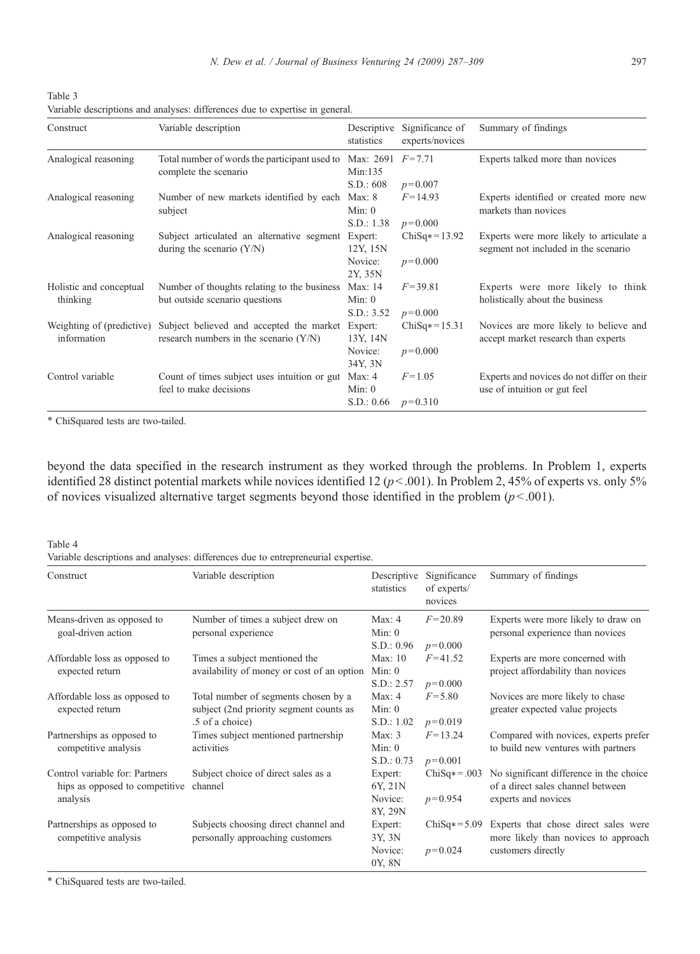<span id="page-10-0"></span>Table 3 Variable descriptions and analyses: differences due to expertise in general.

| Construct                 | Variable description                                                   | Descriptive<br>statistics     | Significance of<br>experts/novices | Summary of findings                        |
|---------------------------|------------------------------------------------------------------------|-------------------------------|------------------------------------|--------------------------------------------|
| Analogical reasoning      | Total number of words the participant used to<br>complete the scenario | Max: 2691 $F=7.71$<br>Min:135 |                                    | Experts talked more than novices           |
|                           |                                                                        | S.D.: 608                     | $p=0.007$                          |                                            |
| Analogical reasoning      | Number of new markets identified by each                               | Max: 8                        | $F = 14.93$                        | Experts identified or created more new     |
|                           | subject                                                                | Min: 0                        |                                    | markets than novices                       |
|                           |                                                                        | S.D.: 1.38                    | $p=0.000$                          |                                            |
| Analogical reasoning      | Subject articulated an alternative segment                             | Expert:                       | $ChiSq* = 13.92$                   | Experts were more likely to articulate a   |
|                           | during the scenario $(Y/N)$                                            | 12Y, 15N                      |                                    | segment not included in the scenario       |
|                           |                                                                        | Novice:                       | $p=0.000$                          |                                            |
|                           |                                                                        | 2Y, 35N                       |                                    |                                            |
| Holistic and conceptual   | Number of thoughts relating to the business                            | Max: 14                       | $F = 39.81$                        | Experts were more likely to think          |
| thinking                  | but outside scenario questions                                         | Min: 0                        |                                    | holistically about the business            |
|                           |                                                                        | S.D.: 3.52                    | $p=0.000$                          |                                            |
| Weighting of (predictive) | Subject believed and accepted the market                               | Expert:                       | $ChiSq* = 15.31$                   | Novices are more likely to believe and     |
| information               | research numbers in the scenario $(Y/N)$                               | 13Y, 14N                      |                                    | accept market research than experts        |
|                           |                                                                        | Novice:                       | $p=0.000$                          |                                            |
|                           |                                                                        | 34Y, 3N                       |                                    |                                            |
| Control variable          | Count of times subject uses intuition or gut                           | Max: $4$                      | $F = 1.05$                         | Experts and novices do not differ on their |
|                           | feel to make decisions                                                 | Min: 0                        |                                    | use of intuition or gut feel               |
|                           |                                                                        | S.D.: 0.66                    | $p=0.310$                          |                                            |

⁎ ChiSquared tests are two-tailed.

beyond the data specified in the research instrument as they worked through the problems. In Problem 1, experts identified 28 distinct potential markets while novices identified 12 ( $p$ <.001). In Problem 2, 45% of experts vs. only 5% of novices visualized alternative target segments beyond those identified in the problem  $(p<.001)$ .

Table 4

Variable descriptions and analyses: differences due to entrepreneurial expertise.

| Construct                                                                    | Variable description                                                                               | Descriptive<br>statistics                | Significance<br>of experts/<br>novices | Summary of findings                                                                                 |
|------------------------------------------------------------------------------|----------------------------------------------------------------------------------------------------|------------------------------------------|----------------------------------------|-----------------------------------------------------------------------------------------------------|
| Means-driven as opposed to<br>goal-driven action                             | Number of times a subject drew on<br>personal experience                                           | Max: $4$<br>Min: 0<br>S.D.: 0.96         | $F = 20.89$<br>$p=0.000$               | Experts were more likely to draw on<br>personal experience than novices                             |
| Affordable loss as opposed to<br>expected return                             | Times a subject mentioned the<br>availability of money or cost of an option                        | Max: 10<br>Min: 0<br>S.D.: 2.57          | $F = 41.52$<br>$p=0.000$               | Experts are more concerned with<br>project affordability than novices                               |
| Affordable loss as opposed to<br>expected return                             | Total number of segments chosen by a<br>subject (2nd priority segment counts as<br>.5 of a choice) | Max: $4$<br>Min: 0<br>S.D.: 1.02         | $F = 5.80$<br>$p=0.019$                | Novices are more likely to chase<br>greater expected value projects                                 |
| Partnerships as opposed to<br>competitive analysis                           | Times subject mentioned partnership<br>activities                                                  | Max: $3$<br>Min: 0<br>S.D.: 0.73         | $F = 13.24$<br>$p=0.001$               | Compared with novices, experts prefer<br>to build new ventures with partners                        |
| Control variable for: Partners<br>hips as opposed to competitive<br>analysis | Subject choice of direct sales as a<br>channel                                                     | Expert:<br>6Y, 21N<br>Novice:<br>8Y, 29N | $ChiSq* = .003$<br>$p=0.954$           | No significant difference in the choice<br>of a direct sales channel between<br>experts and novices |
| Partnerships as opposed to<br>competitive analysis                           | Subjects choosing direct channel and<br>personally approaching customers                           | Expert:<br>3Y, 3N<br>Novice:<br>0Y, 8N   | $ChiSq* = 5.09$<br>$p=0.024$           | Experts that chose direct sales were<br>more likely than novices to approach<br>customers directly  |

⁎ ChiSquared tests are two-tailed.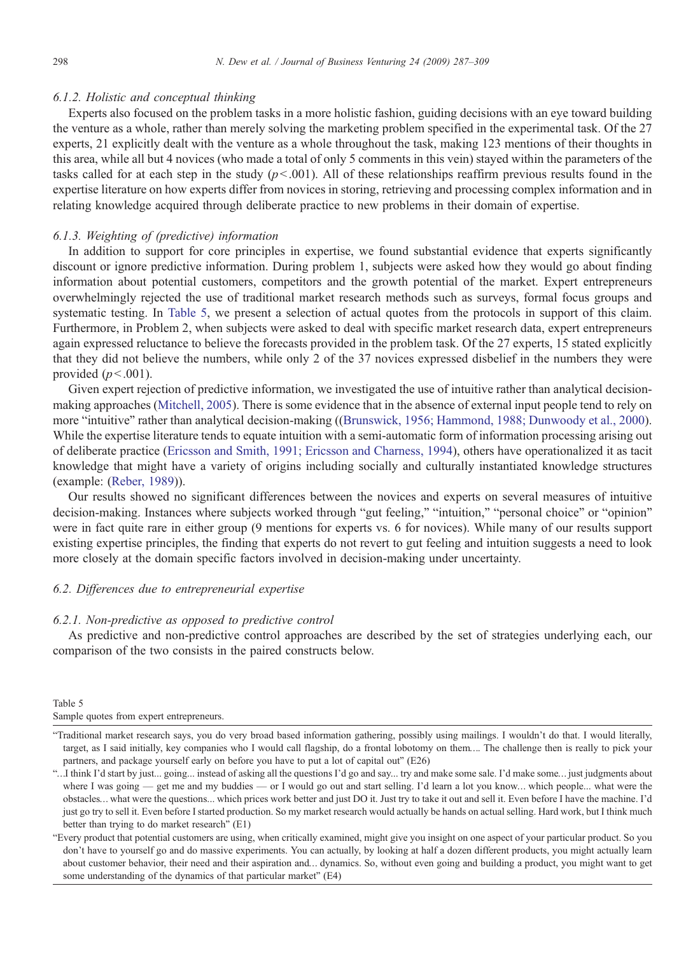#### 6.1.2. Holistic and conceptual thinking

Experts also focused on the problem tasks in a more holistic fashion, guiding decisions with an eye toward building the venture as a whole, rather than merely solving the marketing problem specified in the experimental task. Of the 27 experts, 21 explicitly dealt with the venture as a whole throughout the task, making 123 mentions of their thoughts in this area, while all but 4 novices (who made a total of only 5 comments in this vein) stayed within the parameters of the tasks called for at each step in the study ( $p<001$ ). All of these relationships reaffirm previous results found in the expertise literature on how experts differ from novices in storing, retrieving and processing complex information and in relating knowledge acquired through deliberate practice to new problems in their domain of expertise.

# 6.1.3. Weighting of (predictive) information

In addition to support for core principles in expertise, we found substantial evidence that experts significantly discount or ignore predictive information. During problem 1, subjects were asked how they would go about finding information about potential customers, competitors and the growth potential of the market. Expert entrepreneurs overwhelmingly rejected the use of traditional market research methods such as surveys, formal focus groups and systematic testing. In Table 5, we present a selection of actual quotes from the protocols in support of this claim. Furthermore, in Problem 2, when subjects were asked to deal with specific market research data, expert entrepreneurs again expressed reluctance to believe the forecasts provided in the problem task. Of the 27 experts, 15 stated explicitly that they did not believe the numbers, while only 2 of the 37 novices expressed disbelief in the numbers they were provided  $(p<.001)$ .

Given expert rejection of predictive information, we investigated the use of intuitive rather than analytical decisionmaking approaches ([Mitchell, 2005\)](#page-21-0). There is some evidence that in the absence of external input people tend to rely on more "intuitive" rather than analytical decision-making ([\(Brunswick, 1956; Hammond, 1988; Dunwoody et al., 2000\)](#page-19-0). While the expertise literature tends to equate intuition with a semi-automatic form of information processing arising out of deliberate practice [\(Ericsson and Smith, 1991; Ericsson and Charness, 1994](#page-20-0)), others have operationalized it as tacit knowledge that might have a variety of origins including socially and culturally instantiated knowledge structures (example: ([Reber, 1989](#page-21-0))).

Our results showed no significant differences between the novices and experts on several measures of intuitive decision-making. Instances where subjects worked through "gut feeling," "intuition," "personal choice" or "opinion" were in fact quite rare in either group (9 mentions for experts vs. 6 for novices). While many of our results support existing expertise principles, the finding that experts do not revert to gut feeling and intuition suggests a need to look more closely at the domain specific factors involved in decision-making under uncertainty.

# 6.2. Differences due to entrepreneurial expertise

#### 6.2.1. Non-predictive as opposed to predictive control

As predictive and non-predictive control approaches are described by the set of strategies underlying each, our comparison of the two consists in the paired constructs below.

Table 5

Sample quotes from expert entrepreneurs.

<sup>&</sup>quot;Traditional market research says, you do very broad based information gathering, possibly using mailings. I wouldn't do that. I would literally, target, as I said initially, key companies who I would call flagship, do a frontal lobotomy on them…. The challenge then is really to pick your partners, and package yourself early on before you have to put a lot of capital out" (E26)

<sup>&</sup>quot;…I think I'd start by just... going... instead of asking all the questions I'd go and say... try and make some sale. I'd make some… just judgments about where I was going — get me and my buddies — or I would go out and start selling. I'd learn a lot you know... which people... what were the obstacles… what were the questions... which prices work better and just DO it. Just try to take it out and sell it. Even before I have the machine. I'd just go try to sell it. Even before I started production. So my market research would actually be hands on actual selling. Hard work, but I think much better than trying to do market research" (E1)

<sup>&</sup>quot;Every product that potential customers are using, when critically examined, might give you insight on one aspect of your particular product. So you don't have to yourself go and do massive experiments. You can actually, by looking at half a dozen different products, you might actually learn about customer behavior, their need and their aspiration and… dynamics. So, without even going and building a product, you might want to get some understanding of the dynamics of that particular market" (E4)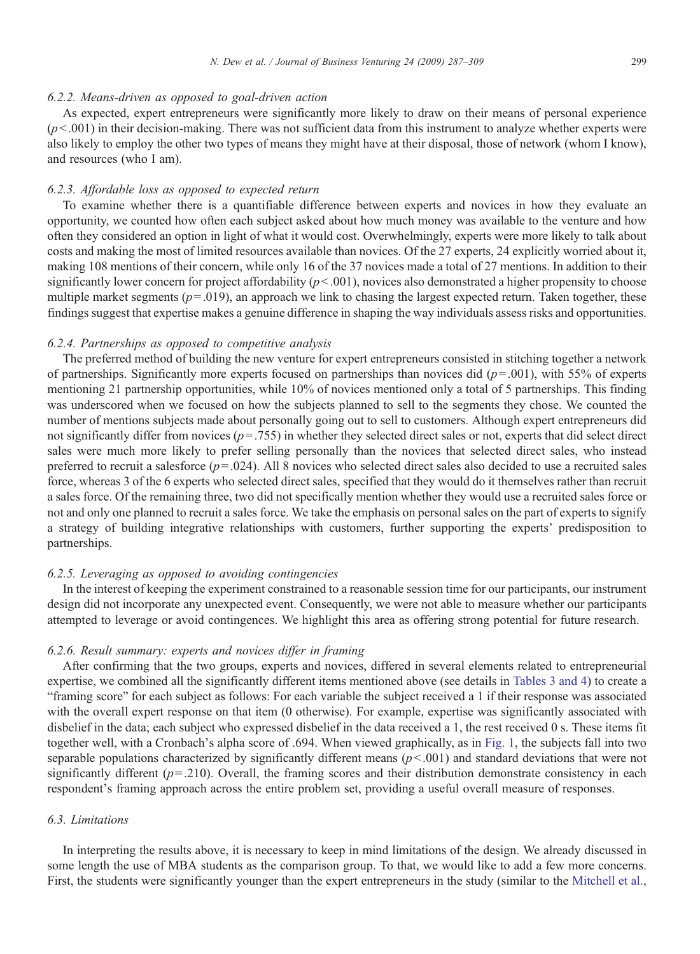#### 6.2.2. Means-driven as opposed to goal-driven action

As expected, expert entrepreneurs were significantly more likely to draw on their means of personal experience  $(p<.001)$  in their decision-making. There was not sufficient data from this instrument to analyze whether experts were also likely to employ the other two types of means they might have at their disposal, those of network (whom I know), and resources (who I am).

### 6.2.3. Affordable loss as opposed to expected return

To examine whether there is a quantifiable difference between experts and novices in how they evaluate an opportunity, we counted how often each subject asked about how much money was available to the venture and how often they considered an option in light of what it would cost. Overwhelmingly, experts were more likely to talk about costs and making the most of limited resources available than novices. Of the 27 experts, 24 explicitly worried about it, making 108 mentions of their concern, while only 16 of the 37 novices made a total of 27 mentions. In addition to their significantly lower concern for project affordability  $(p<.001)$ , novices also demonstrated a higher propensity to choose multiple market segments ( $p=0.019$ ), an approach we link to chasing the largest expected return. Taken together, these findings suggest that expertise makes a genuine difference in shaping the way individuals assess risks and opportunities.

#### 6.2.4. Partnerships as opposed to competitive analysis

The preferred method of building the new venture for expert entrepreneurs consisted in stitching together a network of partnerships. Significantly more experts focused on partnerships than novices did ( $p=0.01$ ), with 55% of experts mentioning 21 partnership opportunities, while 10% of novices mentioned only a total of 5 partnerships. This finding was underscored when we focused on how the subjects planned to sell to the segments they chose. We counted the number of mentions subjects made about personally going out to sell to customers. Although expert entrepreneurs did not significantly differ from novices ( $p = .755$ ) in whether they selected direct sales or not, experts that did select direct sales were much more likely to prefer selling personally than the novices that selected direct sales, who instead preferred to recruit a salesforce  $(p=.024)$ . All 8 novices who selected direct sales also decided to use a recruited sales force, whereas 3 of the 6 experts who selected direct sales, specified that they would do it themselves rather than recruit a sales force. Of the remaining three, two did not specifically mention whether they would use a recruited sales force or not and only one planned to recruit a sales force. We take the emphasis on personal sales on the part of experts to signify a strategy of building integrative relationships with customers, further supporting the experts' predisposition to partnerships.

# 6.2.5. Leveraging as opposed to avoiding contingencies

In the interest of keeping the experiment constrained to a reasonable session time for our participants, our instrument design did not incorporate any unexpected event. Consequently, we were not able to measure whether our participants attempted to leverage or avoid contingences. We highlight this area as offering strong potential for future research.

#### 6.2.6. Result summary: experts and novices differ in framing

After confirming that the two groups, experts and novices, differed in several elements related to entrepreneurial expertise, we combined all the significantly different items mentioned above (see details in [Tables 3 and 4\)](#page-10-0) to create a "framing score" for each subject as follows: For each variable the subject received a 1 if their response was associated with the overall expert response on that item (0 otherwise). For example, expertise was significantly associated with disbelief in the data; each subject who expressed disbelief in the data received a 1, the rest received 0 s. These items fit together well, with a Cronbach's alpha score of .694. When viewed graphically, as in [Fig. 1,](#page-13-0) the subjects fall into two separable populations characterized by significantly different means  $(p<.001)$  and standard deviations that were not significantly different  $(p=.210)$ . Overall, the framing scores and their distribution demonstrate consistency in each respondent's framing approach across the entire problem set, providing a useful overall measure of responses.

#### 6.3. Limitations

In interpreting the results above, it is necessary to keep in mind limitations of the design. We already discussed in some length the use of MBA students as the comparison group. To that, we would like to add a few more concerns. First, the students were significantly younger than the expert entrepreneurs in the study (similar to the [Mitchell et al.,](#page-21-0)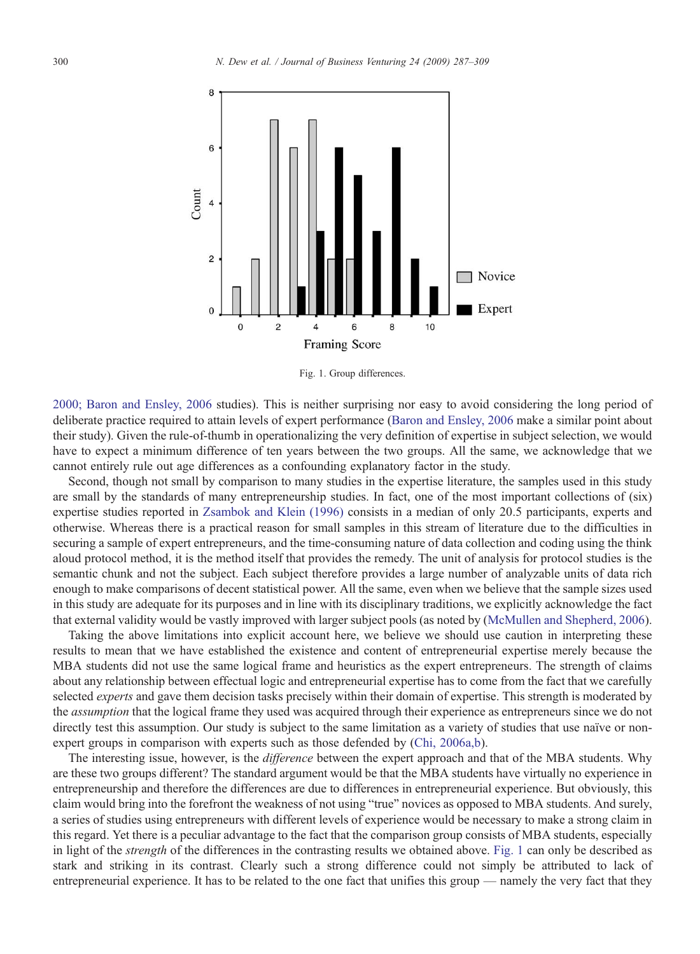<span id="page-13-0"></span>

Fig. 1. Group differences.

[2000; Baron and Ensley, 2006](#page-21-0) studies). This is neither surprising nor easy to avoid considering the long period of deliberate practice required to attain levels of expert performance ([Baron and Ensley, 2006](#page-19-0) make a similar point about their study). Given the rule-of-thumb in operationalizing the very definition of expertise in subject selection, we would have to expect a minimum difference of ten years between the two groups. All the same, we acknowledge that we cannot entirely rule out age differences as a confounding explanatory factor in the study.

Second, though not small by comparison to many studies in the expertise literature, the samples used in this study are small by the standards of many entrepreneurship studies. In fact, one of the most important collections of (six) expertise studies reported in [Zsambok and Klein \(1996\)](#page-22-0) consists in a median of only 20.5 participants, experts and otherwise. Whereas there is a practical reason for small samples in this stream of literature due to the difficulties in securing a sample of expert entrepreneurs, and the time-consuming nature of data collection and coding using the think aloud protocol method, it is the method itself that provides the remedy. The unit of analysis for protocol studies is the semantic chunk and not the subject. Each subject therefore provides a large number of analyzable units of data rich enough to make comparisons of decent statistical power. All the same, even when we believe that the sample sizes used in this study are adequate for its purposes and in line with its disciplinary traditions, we explicitly acknowledge the fact that external validity would be vastly improved with larger subject pools (as noted by [\(McMullen and Shepherd, 2006\)](#page-21-0).

Taking the above limitations into explicit account here, we believe we should use caution in interpreting these results to mean that we have established the existence and content of entrepreneurial expertise merely because the MBA students did not use the same logical frame and heuristics as the expert entrepreneurs. The strength of claims about any relationship between effectual logic and entrepreneurial expertise has to come from the fact that we carefully selected *experts* and gave them decision tasks precisely within their domain of expertise. This strength is moderated by the *assumption* that the logical frame they used was acquired through their experience as entrepreneurs since we do not directly test this assumption. Our study is subject to the same limitation as a variety of studies that use naïve or nonexpert groups in comparison with experts such as those defended by [\(Chi, 2006a,b](#page-20-0)).

The interesting issue, however, is the *difference* between the expert approach and that of the MBA students. Why are these two groups different? The standard argument would be that the MBA students have virtually no experience in entrepreneurship and therefore the differences are due to differences in entrepreneurial experience. But obviously, this claim would bring into the forefront the weakness of not using "true" novices as opposed to MBA students. And surely, a series of studies using entrepreneurs with different levels of experience would be necessary to make a strong claim in this regard. Yet there is a peculiar advantage to the fact that the comparison group consists of MBA students, especially in light of the *strength* of the differences in the contrasting results we obtained above. Fig. 1 can only be described as stark and striking in its contrast. Clearly such a strong difference could not simply be attributed to lack of entrepreneurial experience. It has to be related to the one fact that unifies this group — namely the very fact that they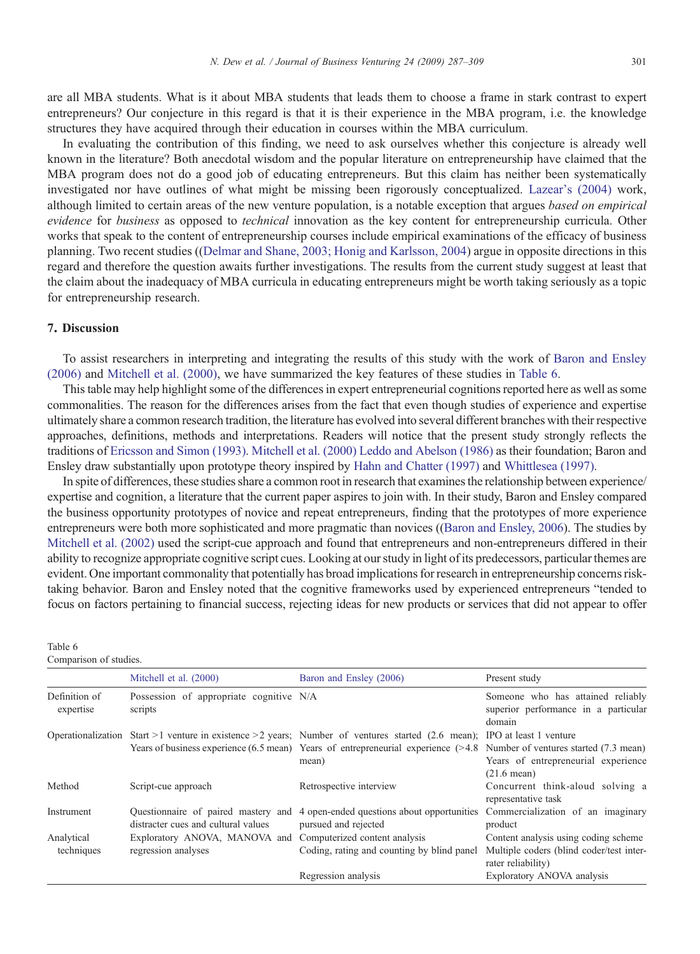<span id="page-14-0"></span>are all MBA students. What is it about MBA students that leads them to choose a frame in stark contrast to expert entrepreneurs? Our conjecture in this regard is that it is their experience in the MBA program, i.e. the knowledge structures they have acquired through their education in courses within the MBA curriculum.

In evaluating the contribution of this finding, we need to ask ourselves whether this conjecture is already well known in the literature? Both anecdotal wisdom and the popular literature on entrepreneurship have claimed that the MBA program does not do a good job of educating entrepreneurs. But this claim has neither been systematically investigated nor have outlines of what might be missing been rigorously conceptualized. [Lazear's \(2004\)](#page-21-0) work, although limited to certain areas of the new venture population, is a notable exception that argues based on empirical evidence for business as opposed to *technical* innovation as the key content for entrepreneurship curricula. Other works that speak to the content of entrepreneurship courses include empirical examinations of the efficacy of business planning. Two recent studies ([\(Delmar and Shane, 2003; Honig and Karlsson, 2004](#page-20-0)) argue in opposite directions in this regard and therefore the question awaits further investigations. The results from the current study suggest at least that the claim about the inadequacy of MBA curricula in educating entrepreneurs might be worth taking seriously as a topic for entrepreneurship research.

#### 7. Discussion

Table 6

To assist researchers in interpreting and integrating the results of this study with the work of [Baron and Ensley](#page-19-0) [\(2006\)](#page-19-0) and [Mitchell et al. \(2000\)](#page-21-0), we have summarized the key features of these studies in Table 6.

This table may help highlight some of the differences in expert entrepreneurial cognitions reported here as well as some commonalities. The reason for the differences arises from the fact that even though studies of experience and expertise ultimately share a common research tradition, the literature has evolved into several different branches with their respective approaches, definitions, methods and interpretations. Readers will notice that the present study strongly reflects the traditions of [Ericsson and Simon \(1993\)](#page-20-0). [Mitchell et al. \(2000\) Leddo and Abelson \(1986\)](#page-21-0) as their foundation; Baron and Ensley draw substantially upon prototype theory inspired by [Hahn and Chatter \(1997\)](#page-20-0) and [Whittlesea \(1997\)](#page-22-0).

In spite of differences, these studies share a common root in research that examines the relationship between experience/ expertise and cognition, a literature that the current paper aspires to join with. In their study, Baron and Ensley compared the business opportunity prototypes of novice and repeat entrepreneurs, finding that the prototypes of more experience entrepreneurs were both more sophisticated and more pragmatic than novices ([\(Baron and Ensley, 2006](#page-19-0)). The studies by [Mitchell et al. \(2002\)](#page-21-0) used the script-cue approach and found that entrepreneurs and non-entrepreneurs differed in their ability to recognize appropriate cognitive script cues. Looking at our study in light of its predecessors, particular themes are evident. One important commonality that potentially has broad implications for research in entrepreneurship concerns risktaking behavior. Baron and Ensley noted that the cognitive frameworks used by experienced entrepreneurs "tended to focus on factors pertaining to financial success, rejecting ideas for new products or services that did not appear to offer

| Tavit v<br>Comparison of studies. |                                                                            |                                                                                                                                     |                                                                                     |
|-----------------------------------|----------------------------------------------------------------------------|-------------------------------------------------------------------------------------------------------------------------------------|-------------------------------------------------------------------------------------|
|                                   | Mitchell et al. (2000)                                                     | Baron and Ensley (2006)                                                                                                             | Present study                                                                       |
| Definition of<br>expertise        | Possession of appropriate cognitive N/A<br>scripts                         |                                                                                                                                     | Someone who has attained reliably<br>superior performance in a particular<br>domain |
|                                   |                                                                            | Operationalization Start >1 venture in existence >2 years; Number of ventures started $(2.6 \text{ mean})$ ; IPO at least 1 venture |                                                                                     |
|                                   |                                                                            | Years of business experience (6.5 mean) Years of entrepreneurial experience (>4.8 Number of ventures started (7.3 mean)             |                                                                                     |
|                                   |                                                                            | mean)                                                                                                                               | Years of entrepreneurial experience                                                 |
|                                   |                                                                            |                                                                                                                                     | $(21.6 \text{ mean})$                                                               |
| Method                            | Script-cue approach                                                        | Retrospective interview                                                                                                             | Concurrent think-aloud solving a<br>representative task                             |
| Instrument                        | Questionnaire of paired mastery and<br>distracter cues and cultural values | 4 open-ended questions about opportunities<br>pursued and rejected                                                                  | Commercialization of an imaginary<br>product                                        |
| Analytical                        | Exploratory ANOVA, MANOVA and                                              | Computerized content analysis                                                                                                       | Content analysis using coding scheme                                                |
| techniques                        | regression analyses                                                        | Coding, rating and counting by blind panel                                                                                          | Multiple coders (blind coder/test inter-<br>rater reliability)                      |
|                                   |                                                                            | Regression analysis                                                                                                                 | Exploratory ANOVA analysis                                                          |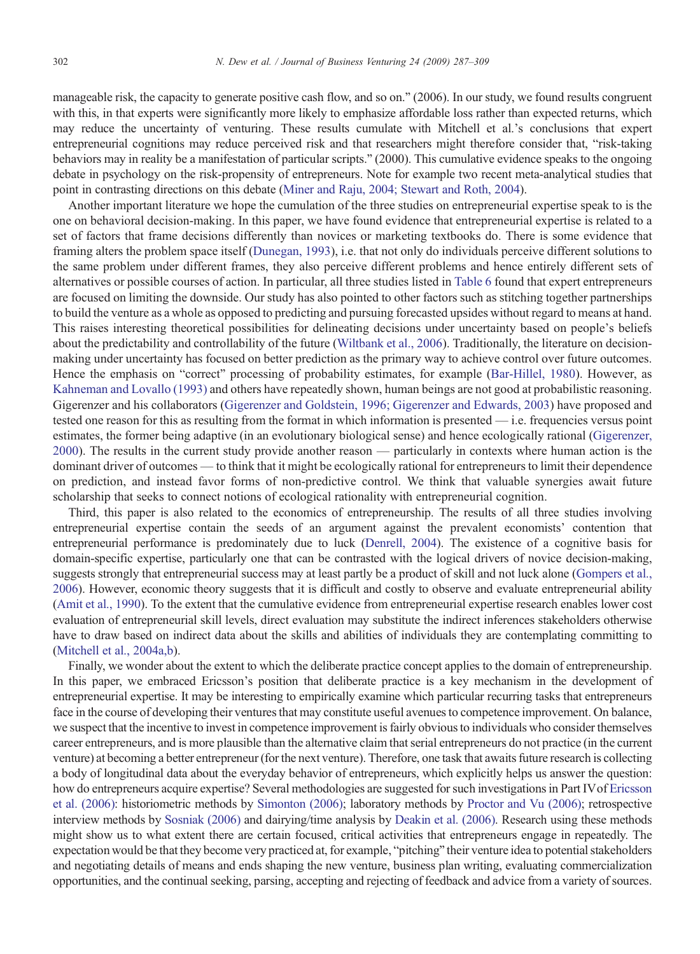manageable risk, the capacity to generate positive cash flow, and so on." (2006). In our study, we found results congruent with this, in that experts were significantly more likely to emphasize affordable loss rather than expected returns, which may reduce the uncertainty of venturing. These results cumulate with Mitchell et al.'s conclusions that expert entrepreneurial cognitions may reduce perceived risk and that researchers might therefore consider that, "risk-taking behaviors may in reality be a manifestation of particular scripts." (2000). This cumulative evidence speaks to the ongoing debate in psychology on the risk-propensity of entrepreneurs. Note for example two recent meta-analytical studies that point in contrasting directions on this debate [\(Miner and Raju, 2004; Stewart and Roth, 2004](#page-21-0)).

Another important literature we hope the cumulation of the three studies on entrepreneurial expertise speak to is the one on behavioral decision-making. In this paper, we have found evidence that entrepreneurial expertise is related to a set of factors that frame decisions differently than novices or marketing textbooks do. There is some evidence that framing alters the problem space itself ([Dunegan, 1993](#page-20-0)), i.e. that not only do individuals perceive different solutions to the same problem under different frames, they also perceive different problems and hence entirely different sets of alternatives or possible courses of action. In particular, all three studies listed in [Table 6](#page-14-0) found that expert entrepreneurs are focused on limiting the downside. Our study has also pointed to other factors such as stitching together partnerships to build the venture as a whole as opposed to predicting and pursuing forecasted upsides without regard to means at hand. This raises interesting theoretical possibilities for delineating decisions under uncertainty based on people's beliefs about the predictability and controllability of the future [\(Wiltbank et al., 2006](#page-22-0)). Traditionally, the literature on decisionmaking under uncertainty has focused on better prediction as the primary way to achieve control over future outcomes. Hence the emphasis on "correct" processing of probability estimates, for example ([Bar-Hillel, 1980\)](#page-19-0). However, as [Kahneman and Lovallo \(1993\)](#page-21-0) and others have repeatedly shown, human beings are not good at probabilistic reasoning. Gigerenzer and his collaborators ([Gigerenzer and Goldstein, 1996; Gigerenzer and Edwards, 2003\)](#page-20-0) have proposed and tested one reason for this as resulting from the format in which information is presented — i.e. frequencies versus point estimates, the former being adaptive (in an evolutionary biological sense) and hence ecologically rational [\(Gigerenzer,](#page-20-0) [2000](#page-20-0)). The results in the current study provide another reason — particularly in contexts where human action is the dominant driver of outcomes — to think that it might be ecologically rational for entrepreneurs to limit their dependence on prediction, and instead favor forms of non-predictive control. We think that valuable synergies await future scholarship that seeks to connect notions of ecological rationality with entrepreneurial cognition.

Third, this paper is also related to the economics of entrepreneurship. The results of all three studies involving entrepreneurial expertise contain the seeds of an argument against the prevalent economists' contention that entrepreneurial performance is predominately due to luck [\(Denrell, 2004\)](#page-20-0). The existence of a cognitive basis for domain-specific expertise, particularly one that can be contrasted with the logical drivers of novice decision-making, suggests strongly that entrepreneurial success may at least partly be a product of skill and not luck alone [\(Gompers et al.,](#page-20-0) [2006\)](#page-20-0). However, economic theory suggests that it is difficult and costly to observe and evaluate entrepreneurial ability [\(Amit et al., 1990](#page-19-0)). To the extent that the cumulative evidence from entrepreneurial expertise research enables lower cost evaluation of entrepreneurial skill levels, direct evaluation may substitute the indirect inferences stakeholders otherwise have to draw based on indirect data about the skills and abilities of individuals they are contemplating committing to [\(Mitchell et al., 2004a,b\)](#page-21-0).

Finally, we wonder about the extent to which the deliberate practice concept applies to the domain of entrepreneurship. In this paper, we embraced Ericsson's position that deliberate practice is a key mechanism in the development of entrepreneurial expertise. It may be interesting to empirically examine which particular recurring tasks that entrepreneurs face in the course of developing their ventures that may constitute useful avenues to competence improvement. On balance, we suspect that the incentive to invest in competence improvement is fairly obvious to individuals who consider themselves career entrepreneurs, and is more plausible than the alternative claim that serial entrepreneurs do not practice (in the current venture) at becoming a better entrepreneur (for the next venture). Therefore, one task that awaits future research is collecting a body of longitudinal data about the everyday behavior of entrepreneurs, which explicitly helps us answer the question: how do entrepreneurs acquire expertise? Several methodologies are suggested for such investigations in Part IVof [Ericsson](#page-20-0) [et al. \(2006\)](#page-20-0): historiometric methods by [Simonton \(2006\);](#page-22-0) laboratory methods by [Proctor and Vu \(2006\)](#page-21-0); retrospective interview methods by [Sosniak \(2006\)](#page-22-0) and dairying/time analysis by [Deakin et al. \(2006\)](#page-20-0). Research using these methods might show us to what extent there are certain focused, critical activities that entrepreneurs engage in repeatedly. The expectation would be that they become very practiced at, for example, "pitching" their venture idea to potential stakeholders and negotiating details of means and ends shaping the new venture, business plan writing, evaluating commercialization opportunities, and the continual seeking, parsing, accepting and rejecting of feedback and advice from a variety of sources.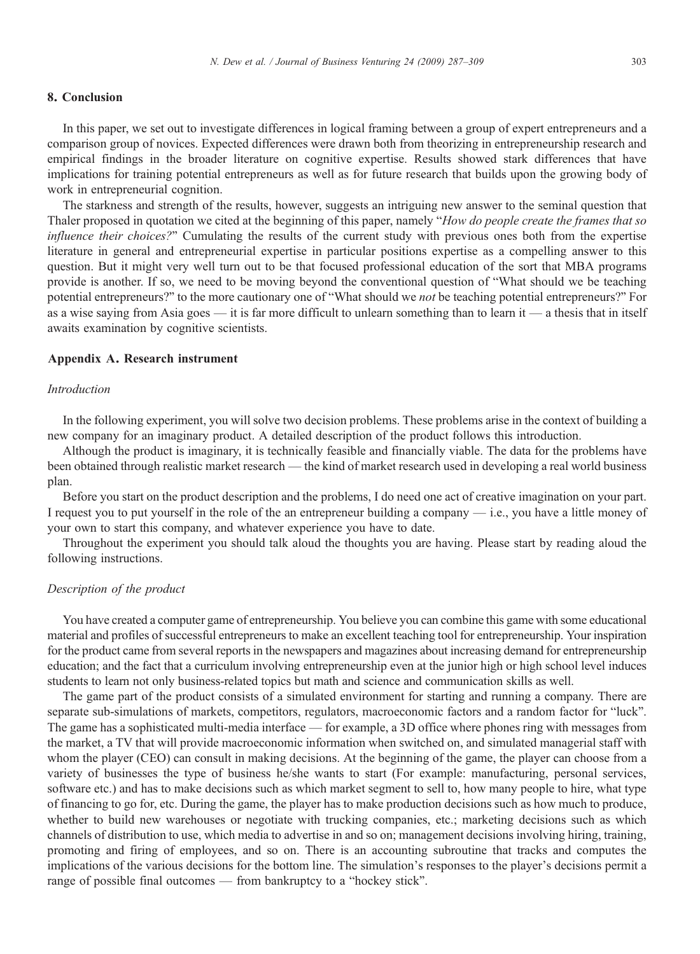# 8. Conclusion

In this paper, we set out to investigate differences in logical framing between a group of expert entrepreneurs and a comparison group of novices. Expected differences were drawn both from theorizing in entrepreneurship research and empirical findings in the broader literature on cognitive expertise. Results showed stark differences that have implications for training potential entrepreneurs as well as for future research that builds upon the growing body of work in entrepreneurial cognition.

The starkness and strength of the results, however, suggests an intriguing new answer to the seminal question that Thaler proposed in quotation we cited at the beginning of this paper, namely "How do people create the frames that so influence their choices?" Cumulating the results of the current study with previous ones both from the expertise literature in general and entrepreneurial expertise in particular positions expertise as a compelling answer to this question. But it might very well turn out to be that focused professional education of the sort that MBA programs provide is another. If so, we need to be moving beyond the conventional question of "What should we be teaching potential entrepreneurs?" to the more cautionary one of "What should we not be teaching potential entrepreneurs?" For as a wise saying from Asia goes — it is far more difficult to unlearn something than to learn it — a thesis that in itself awaits examination by cognitive scientists.

#### Appendix A. Research instrument

# Introduction

In the following experiment, you will solve two decision problems. These problems arise in the context of building a new company for an imaginary product. A detailed description of the product follows this introduction.

Although the product is imaginary, it is technically feasible and financially viable. The data for the problems have been obtained through realistic market research — the kind of market research used in developing a real world business plan.

Before you start on the product description and the problems, I do need one act of creative imagination on your part. I request you to put yourself in the role of the an entrepreneur building a company — i.e., you have a little money of your own to start this company, and whatever experience you have to date.

Throughout the experiment you should talk aloud the thoughts you are having. Please start by reading aloud the following instructions.

# Description of the product

You have created a computer game of entrepreneurship. You believe you can combine this game with some educational material and profiles of successful entrepreneurs to make an excellent teaching tool for entrepreneurship. Your inspiration for the product came from several reports in the newspapers and magazines about increasing demand for entrepreneurship education; and the fact that a curriculum involving entrepreneurship even at the junior high or high school level induces students to learn not only business-related topics but math and science and communication skills as well.

The game part of the product consists of a simulated environment for starting and running a company. There are separate sub-simulations of markets, competitors, regulators, macroeconomic factors and a random factor for "luck". The game has a sophisticated multi-media interface — for example, a 3D office where phones ring with messages from the market, a TV that will provide macroeconomic information when switched on, and simulated managerial staff with whom the player (CEO) can consult in making decisions. At the beginning of the game, the player can choose from a variety of businesses the type of business he/she wants to start (For example: manufacturing, personal services, software etc.) and has to make decisions such as which market segment to sell to, how many people to hire, what type of financing to go for, etc. During the game, the player has to make production decisions such as how much to produce, whether to build new warehouses or negotiate with trucking companies, etc.; marketing decisions such as which channels of distribution to use, which media to advertise in and so on; management decisions involving hiring, training, promoting and firing of employees, and so on. There is an accounting subroutine that tracks and computes the implications of the various decisions for the bottom line. The simulation's responses to the player's decisions permit a range of possible final outcomes — from bankruptcy to a "hockey stick".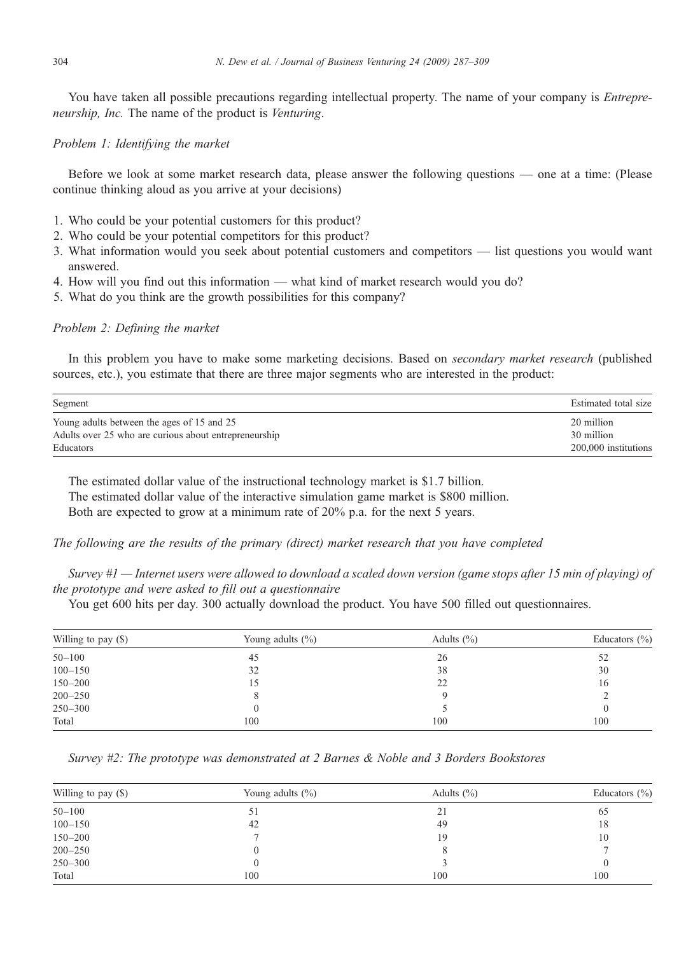You have taken all possible precautions regarding intellectual property. The name of your company is *Entrepre*neurship, Inc. The name of the product is Venturing.

# Problem 1: Identifying the market

Before we look at some market research data, please answer the following questions — one at a time: (Please continue thinking aloud as you arrive at your decisions)

- 1. Who could be your potential customers for this product?
- 2. Who could be your potential competitors for this product?
- 3. What information would you seek about potential customers and competitors list questions you would want answered.
- 4. How will you find out this information what kind of market research would you do?
- 5. What do you think are the growth possibilities for this company?

#### Problem 2: Defining the market

In this problem you have to make some marketing decisions. Based on *secondary market research* (published sources, etc.), you estimate that there are three major segments who are interested in the product:

| Segment                                                                                             | Estimated total size     |
|-----------------------------------------------------------------------------------------------------|--------------------------|
| Young adults between the ages of 15 and 25<br>Adults over 25 who are curious about entrepreneurship | 20 million<br>30 million |
| Educators                                                                                           | 200,000 institutions     |

The estimated dollar value of the instructional technology market is \$1.7 billion. The estimated dollar value of the interactive simulation game market is \$800 million. Both are expected to grow at a minimum rate of 20% p.a. for the next 5 years.

The following are the results of the primary (direct) market research that you have completed

Survey #1 — Internet users were allowed to download a scaled down version (game stops after 15 min of playing) of the prototype and were asked to fill out a questionnaire

You get 600 hits per day. 300 actually download the product. You have 500 filled out questionnaires.

| Willing to pay $(S)$ | Young adults $(\% )$ | Adults $(\% )$ | Educators $(\% )$ |
|----------------------|----------------------|----------------|-------------------|
| $50 - 100$           | 45                   | 26             | 52                |
| $100 - 150$          | 32                   | 38             | 30                |
| $150 - 200$          | 15                   | 22             | 16                |
| $200 - 250$          |                      |                |                   |
| $250 - 300$          |                      |                |                   |
| Total                | 100                  | 100            | 100               |

Survey #2: The prototype was demonstrated at 2 Barnes & Noble and 3 Borders Bookstores

| Willing to pay (\$) | Young adults $(\% )$ | Adults $(\%)$ | Educators $(\% )$ |
|---------------------|----------------------|---------------|-------------------|
| $50 - 100$          | 51                   | 21            | 65                |
| $100 - 150$         | 42                   | 49            | 18                |
| $150 - 200$         |                      | 19            | 10                |
| $200 - 250$         |                      |               |                   |
| $250 - 300$         |                      |               |                   |
| Total               | 100                  | 100           | 100               |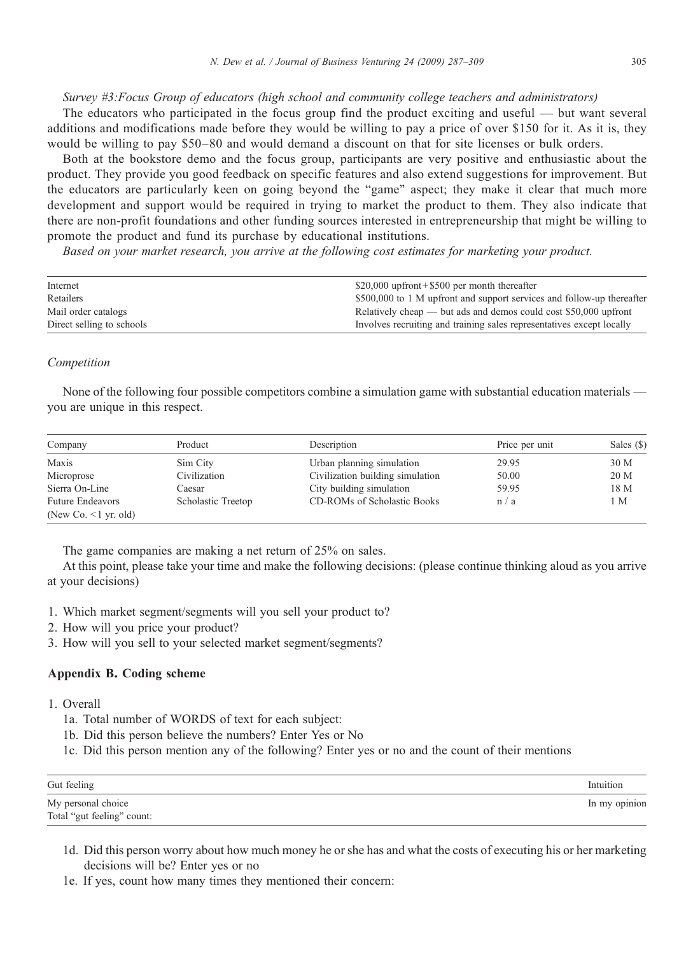# Survey #3:Focus Group of educators (high school and community college teachers and administrators)

The educators who participated in the focus group find the product exciting and useful — but want several additions and modifications made before they would be willing to pay a price of over \$150 for it. As it is, they would be willing to pay \$50–80 and would demand a discount on that for site licenses or bulk orders.

Both at the bookstore demo and the focus group, participants are very positive and enthusiastic about the product. They provide you good feedback on specific features and also extend suggestions for improvement. But the educators are particularly keen on going beyond the "game" aspect; they make it clear that much more development and support would be required in trying to market the product to them. They also indicate that there are non-profit foundations and other funding sources interested in entrepreneurship that might be willing to promote the product and fund its purchase by educational institutions.

Based on your market research, you arrive at the following cost estimates for marketing your product.

| Internet                  | $$20,000$ upfront + \$500 per month thereafter                         |
|---------------------------|------------------------------------------------------------------------|
| Retailers                 | \$500,000 to 1 M upfront and support services and follow-up thereafter |
| Mail order catalogs       | Relatively cheap — but ads and demos could cost $$50,000$ upfront      |
| Direct selling to schools | Involves recruiting and training sales representatives except locally  |

# Competition

None of the following four possible competitors combine a simulation game with substantial education materials you are unique in this respect.

| Company                    | Product            | Description                      | Price per unit | Sales $(S)$ |
|----------------------------|--------------------|----------------------------------|----------------|-------------|
| Maxis                      | Sim City           | Urban planning simulation        | 29.95          | 30 M        |
| Microprose                 | Civilization       | Civilization building simulation | 50.00          | 20 M        |
| Sierra On-Line             | Caesar             | City building simulation         | 59.95          | 18 M        |
| <b>Future Endeavors</b>    | Scholastic Treetop | CD-ROMs of Scholastic Books      | n/a            | 1 M         |
| (New Co. $\leq 1$ yr. old) |                    |                                  |                |             |

The game companies are making a net return of 25% on sales.

At this point, please take your time and make the following decisions: (please continue thinking aloud as you arrive at your decisions)

- 1. Which market segment/segments will you sell your product to?
- 2. How will you price your product?
- 3. How will you sell to your selected market segment/segments?

#### Appendix B. Coding scheme

- 1. Overall
	- 1a. Total number of WORDS of text for each subject:
	- 1b. Did this person believe the numbers? Enter Yes or No
	- 1c. Did this person mention any of the following? Enter yes or no and the count of their mentions

| Gut feeling                | Intuition     |
|----------------------------|---------------|
| My personal choice         | In my opinion |
| Total "gut feeling" count: |               |

- 1d. Did this person worry about how much money he or she has and what the costs of executing his or her marketing decisions will be? Enter yes or no
- 1e. If yes, count how many times they mentioned their concern: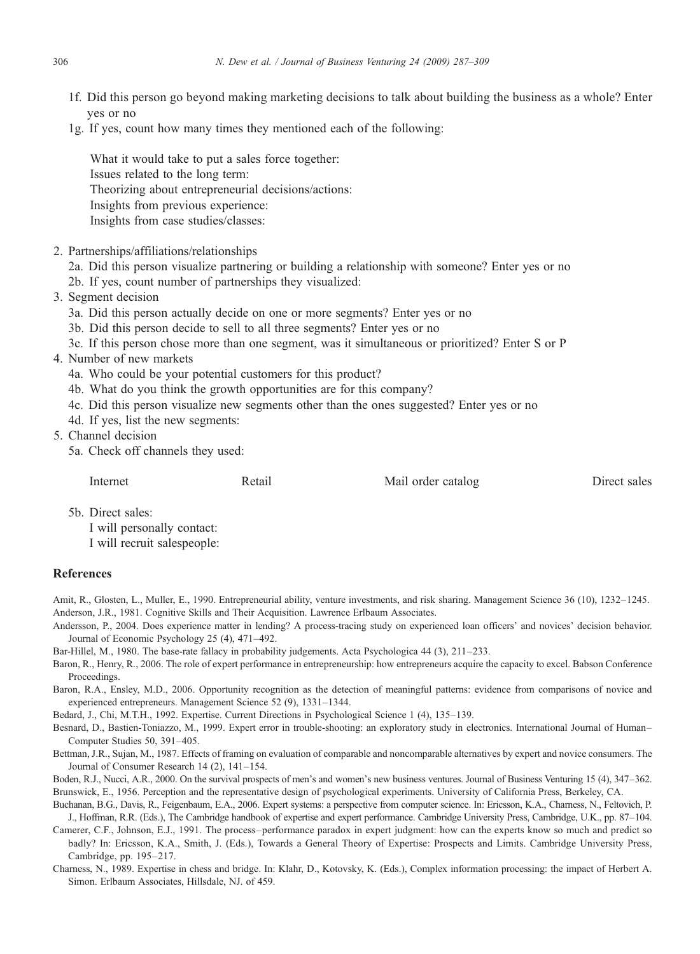- <span id="page-19-0"></span>1f. Did this person go beyond making marketing decisions to talk about building the business as a whole? Enter yes or no
- 1g. If yes, count how many times they mentioned each of the following:

What it would take to put a sales force together: Issues related to the long term: Theorizing about entrepreneurial decisions/actions: Insights from previous experience: Insights from case studies/classes:

2. Partnerships/affiliations/relationships

2a. Did this person visualize partnering or building a relationship with someone? Enter yes or no

- 2b. If yes, count number of partnerships they visualized:
- 3. Segment decision
	- 3a. Did this person actually decide on one or more segments? Enter yes or no
	- 3b. Did this person decide to sell to all three segments? Enter yes or no
	- 3c. If this person chose more than one segment, was it simultaneous or prioritized? Enter S or P
- 4. Number of new markets
	- 4a. Who could be your potential customers for this product?
	- 4b. What do you think the growth opportunities are for this company?
	- 4c. Did this person visualize new segments other than the ones suggested? Enter yes or no
	- 4d. If yes, list the new segments:
- 5. Channel decision
	- 5a. Check off channels they used:

Internet Retail Mail order catalog Direct sales

5b. Direct sales:

I will personally contact:

# I will recruit salespeople:

# References

- Amit, R., Glosten, L., Muller, E., 1990. Entrepreneurial ability, venture investments, and risk sharing. Management Science 36 (10), 1232–1245. Anderson, J.R., 1981. Cognitive Skills and Their Acquisition. Lawrence Erlbaum Associates.
- Andersson, P., 2004. Does experience matter in lending? A process-tracing study on experienced loan officers' and novices' decision behavior. Journal of Economic Psychology 25 (4), 471–492.
- Bar-Hillel, M., 1980. The base-rate fallacy in probability judgements. Acta Psychologica 44 (3), 211–233.
- Baron, R., Henry, R., 2006. The role of expert performance in entrepreneurship: how entrepreneurs acquire the capacity to excel. Babson Conference Proceedings.
- Baron, R.A., Ensley, M.D., 2006. Opportunity recognition as the detection of meaningful patterns: evidence from comparisons of novice and experienced entrepreneurs. Management Science 52 (9), 1331–1344.
- Bedard, J., Chi, M.T.H., 1992. Expertise. Current Directions in Psychological Science 1 (4), 135–139.
- Besnard, D., Bastien-Toniazzo, M., 1999. Expert error in trouble-shooting: an exploratory study in electronics. International Journal of Human– Computer Studies 50, 391–405.
- Bettman, J.R., Sujan, M., 1987. Effects of framing on evaluation of comparable and noncomparable alternatives by expert and novice consumers. The Journal of Consumer Research 14 (2), 141–154.
- Boden, R.J., Nucci, A.R., 2000. On the survival prospects of men's and women's new business ventures. Journal of Business Venturing 15 (4), 347–362. Brunswick, E., 1956. Perception and the representative design of psychological experiments. University of California Press, Berkeley, CA.
- Buchanan, B.G., Davis, R., Feigenbaum, E.A., 2006. Expert systems: a perspective from computer science. In: Ericsson, K.A., Charness, N., Feltovich, P. J., Hoffman, R.R. (Eds.), The Cambridge handbook of expertise and expert performance. Cambridge University Press, Cambridge, U.K., pp. 87–104.
- Camerer, C.F., Johnson, E.J., 1991. The process–performance paradox in expert judgment: how can the experts know so much and predict so badly? In: Ericsson, K.A., Smith, J. (Eds.), Towards a General Theory of Expertise: Prospects and Limits. Cambridge University Press, Cambridge, pp. 195–217.
- Charness, N., 1989. Expertise in chess and bridge. In: Klahr, D., Kotovsky, K. (Eds.), Complex information processing: the impact of Herbert A. Simon. Erlbaum Associates, Hillsdale, NJ. of 459.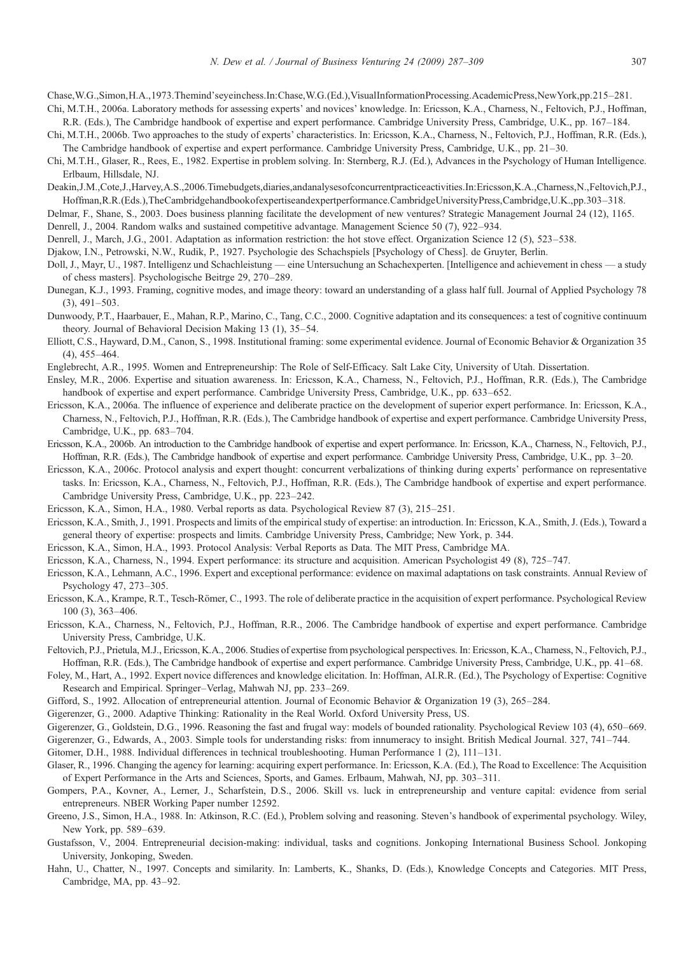- <span id="page-20-0"></span>Chase,W.G.,Simon,H.A.,1973.Themind'seyeinchess.In:Chase,W.G.(Ed.),VisualInformationProcessing.AcademicPress,NewYork,pp.215–281. Chi, M.T.H., 2006a. Laboratory methods for assessing experts' and novices' knowledge. In: Ericsson, K.A., Charness, N., Feltovich, P.J., Hoffman,
- R.R. (Eds.), The Cambridge handbook of expertise and expert performance. Cambridge University Press, Cambridge, U.K., pp. 167–184.
- Chi, M.T.H., 2006b. Two approaches to the study of experts' characteristics. In: Ericsson, K.A., Charness, N., Feltovich, P.J., Hoffman, R.R. (Eds.), The Cambridge handbook of expertise and expert performance. Cambridge University Press, Cambridge, U.K., pp. 21–30.
- Chi, M.T.H., Glaser, R., Rees, E., 1982. Expertise in problem solving. In: Sternberg, R.J. (Ed.), Advances in the Psychology of Human Intelligence. Erlbaum, Hillsdale, NJ.
- Deakin,J.M.,Cote,J.,Harvey,A.S.,2006.Timebudgets,diaries,andanalysesofconcurrentpracticeactivities.In:Ericsson,K.A.,Charness,N.,Feltovich,P.J.,
- Hoffman,R.R.(Eds.),TheCambridgehandbookofexpertiseandexpertperformance.CambridgeUniversityPress,Cambridge,U.K.,pp.303–318.
- Delmar, F., Shane, S., 2003. Does business planning facilitate the development of new ventures? Strategic Management Journal 24 (12), 1165.

Denrell, J., 2004. Random walks and sustained competitive advantage. Management Science 50 (7), 922–934.

- Denrell, J., March, J.G., 2001. Adaptation as information restriction: the hot stove effect. Organization Science 12 (5), 523–538.
- Djakow, I.N., Petrowski, N.W., Rudik, P., 1927. Psychologie des Schachspiels [Psychology of Chess]. de Gruyter, Berlin.
- Doll, J., Mayr, U., 1987. Intelligenz und Schachleistung eine Untersuchung an Schachexperten. [Intelligence and achievement in chess a study of chess masters]. Psychologische Beitrge 29, 270–289.
- Dunegan, K.J., 1993. Framing, cognitive modes, and image theory: toward an understanding of a glass half full. Journal of Applied Psychology 78  $(3)$ , 491–503.
- Dunwoody, P.T., Haarbauer, E., Mahan, R.P., Marino, C., Tang, C.C., 2000. Cognitive adaptation and its consequences: a test of cognitive continuum theory. Journal of Behavioral Decision Making 13 (1), 35–54.
- Elliott, C.S., Hayward, D.M., Canon, S., 1998. Institutional framing: some experimental evidence. Journal of Economic Behavior & Organization 35 (4), 455–464.
- Englebrecht, A.R., 1995. Women and Entrepreneurship: The Role of Self-Efficacy. Salt Lake City, University of Utah. Dissertation.
- Ensley, M.R., 2006. Expertise and situation awareness. In: Ericsson, K.A., Charness, N., Feltovich, P.J., Hoffman, R.R. (Eds.), The Cambridge handbook of expertise and expert performance. Cambridge University Press, Cambridge, U.K., pp. 633–652.
- Ericsson, K.A., 2006a. The influence of experience and deliberate practice on the development of superior expert performance. In: Ericsson, K.A., Charness, N., Feltovich, P.J., Hoffman, R.R. (Eds.), The Cambridge handbook of expertise and expert performance. Cambridge University Press, Cambridge, U.K., pp. 683–704.
- Ericsson, K.A., 2006b. An introduction to the Cambridge handbook of expertise and expert performance. In: Ericsson, K.A., Charness, N., Feltovich, P.J., Hoffman, R.R. (Eds.), The Cambridge handbook of expertise and expert performance. Cambridge University Press, Cambridge, U.K., pp. 3–20.
- Ericsson, K.A., 2006c. Protocol analysis and expert thought: concurrent verbalizations of thinking during experts' performance on representative tasks. In: Ericsson, K.A., Charness, N., Feltovich, P.J., Hoffman, R.R. (Eds.), The Cambridge handbook of expertise and expert performance. Cambridge University Press, Cambridge, U.K., pp. 223–242.
- Ericsson, K.A., Simon, H.A., 1980. Verbal reports as data. Psychological Review 87 (3), 215–251.
- Ericsson, K.A., Smith, J., 1991. Prospects and limits of the empirical study of expertise: an introduction. In: Ericsson, K.A., Smith, J. (Eds.), Toward a general theory of expertise: prospects and limits. Cambridge University Press, Cambridge; New York, p. 344.
- Ericsson, K.A., Simon, H.A., 1993. Protocol Analysis: Verbal Reports as Data. The MIT Press, Cambridge MA.
- Ericsson, K.A., Charness, N., 1994. Expert performance: its structure and acquisition. American Psychologist 49 (8), 725–747.
- Ericsson, K.A., Lehmann, A.C., 1996. Expert and exceptional performance: evidence on maximal adaptations on task constraints. Annual Review of Psychology 47, 273–305.
- Ericsson, K.A., Krampe, R.T., Tesch-Römer, C., 1993. The role of deliberate practice in the acquisition of expert performance. Psychological Review 100 (3), 363–406.
- Ericsson, K.A., Charness, N., Feltovich, P.J., Hoffman, R.R., 2006. The Cambridge handbook of expertise and expert performance. Cambridge University Press, Cambridge, U.K.
- Feltovich, P.J., Prietula, M.J., Ericsson, K.A., 2006. Studies of expertise from psychological perspectives. In: Ericsson, K.A., Charness, N., Feltovich, P.J., Hoffman, R.R. (Eds.), The Cambridge handbook of expertise and expert performance. Cambridge University Press, Cambridge, U.K., pp. 41–68.
- Foley, M., Hart, A., 1992. Expert novice differences and knowledge elicitation. In: Hoffman, AI.R.R. (Ed.), The Psychology of Expertise: Cognitive Research and Empirical. Springer–Verlag, Mahwah NJ, pp. 233–269.
- Gifford, S., 1992. Allocation of entrepreneurial attention. Journal of Economic Behavior & Organization 19 (3), 265–284.
- Gigerenzer, G., 2000. Adaptive Thinking: Rationality in the Real World. Oxford University Press, US.
- Gigerenzer, G., Goldstein, D.G., 1996. Reasoning the fast and frugal way: models of bounded rationality. Psychological Review 103 (4), 650–669.
- Gigerenzer, G., Edwards, A., 2003. Simple tools for understanding risks: from innumeracy to insight. British Medical Journal. 327, 741–744.
- Gitomer, D.H., 1988. Individual differences in technical troubleshooting. Human Performance 1 (2), 111–131.
- Glaser, R., 1996. Changing the agency for learning: acquiring expert performance. In: Ericsson, K.A. (Ed.), The Road to Excellence: The Acquisition of Expert Performance in the Arts and Sciences, Sports, and Games. Erlbaum, Mahwah, NJ, pp. 303–311.
- Gompers, P.A., Kovner, A., Lerner, J., Scharfstein, D.S., 2006. Skill vs. luck in entrepreneurship and venture capital: evidence from serial entrepreneurs. NBER Working Paper number 12592.
- Greeno, J.S., Simon, H.A., 1988. In: Atkinson, R.C. (Ed.), Problem solving and reasoning. Steven's handbook of experimental psychology. Wiley, New York, pp. 589–639.
- Gustafsson, V., 2004. Entrepreneurial decision-making: individual, tasks and cognitions. Jonkoping International Business School. Jonkoping University, Jonkoping, Sweden.
- Hahn, U., Chatter, N., 1997. Concepts and similarity. In: Lamberts, K., Shanks, D. (Eds.), Knowledge Concepts and Categories. MIT Press, Cambridge, MA, pp. 43–92.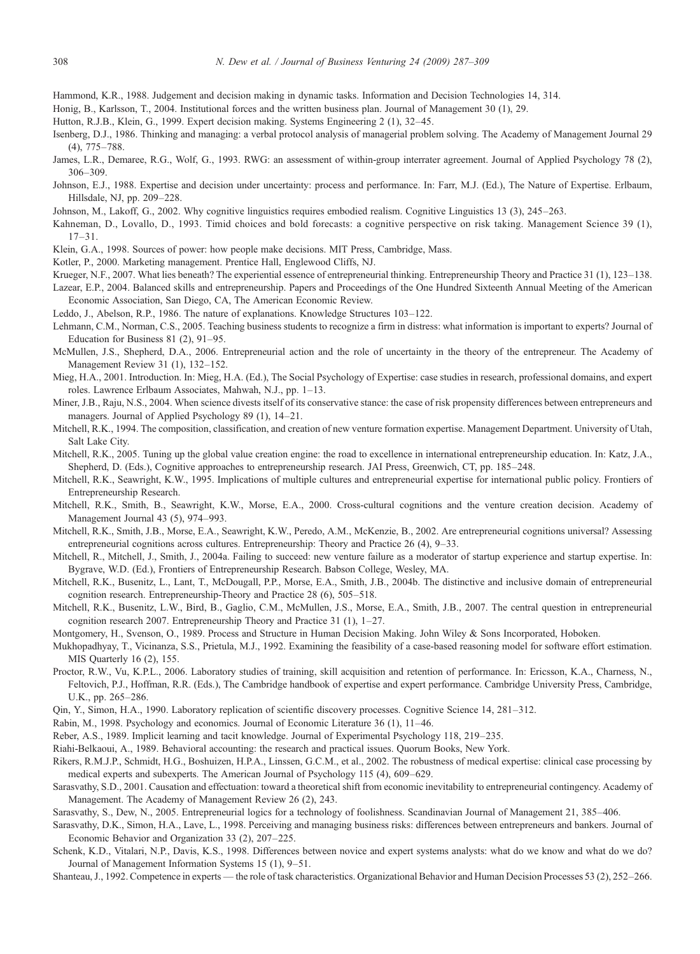<span id="page-21-0"></span>Hammond, K.R., 1988. Judgement and decision making in dynamic tasks. Information and Decision Technologies 14, 314.

Honig, B., Karlsson, T., 2004. Institutional forces and the written business plan. Journal of Management 30 (1), 29.

Hutton, R.J.B., Klein, G., 1999. Expert decision making. Systems Engineering 2 (1), 32–45.

- Isenberg, D.J., 1986. Thinking and managing: a verbal protocol analysis of managerial problem solving. The Academy of Management Journal 29 (4), 775–788.
- James, L.R., Demaree, R.G., Wolf, G., 1993. RWG: an assessment of within-group interrater agreement. Journal of Applied Psychology 78 (2), 306–309.
- Johnson, E.J., 1988. Expertise and decision under uncertainty: process and performance. In: Farr, M.J. (Ed.), The Nature of Expertise. Erlbaum, Hillsdale, NJ, pp. 209–228.

Johnson, M., Lakoff, G., 2002. Why cognitive linguistics requires embodied realism. Cognitive Linguistics 13 (3), 245–263.

- Kahneman, D., Lovallo, D., 1993. Timid choices and bold forecasts: a cognitive perspective on risk taking. Management Science 39 (1),  $17 - 31$
- Klein, G.A., 1998. Sources of power: how people make decisions. MIT Press, Cambridge, Mass.
- Kotler, P., 2000. Marketing management. Prentice Hall, Englewood Cliffs, NJ.
- Krueger, N.F., 2007. What lies beneath? The experiential essence of entrepreneurial thinking. Entrepreneurship Theory and Practice 31 (1), 123–138. Lazear, E.P., 2004. Balanced skills and entrepreneurship. Papers and Proceedings of the One Hundred Sixteenth Annual Meeting of the American Economic Association, San Diego, CA, The American Economic Review.
- Leddo, J., Abelson, R.P., 1986. The nature of explanations. Knowledge Structures 103–122.
- Lehmann, C.M., Norman, C.S., 2005. Teaching business students to recognize a firm in distress: what information is important to experts? Journal of Education for Business 81 (2), 91–95.
- McMullen, J.S., Shepherd, D.A., 2006. Entrepreneurial action and the role of uncertainty in the theory of the entrepreneur. The Academy of Management Review 31 (1), 132–152.
- Mieg, H.A., 2001. Introduction. In: Mieg, H.A. (Ed.), The Social Psychology of Expertise: case studies in research, professional domains, and expert roles. Lawrence Erlbaum Associates, Mahwah, N.J., pp. 1–13.
- Miner, J.B., Raju, N.S., 2004. When science divests itself of its conservative stance: the case of risk propensity differences between entrepreneurs and managers. Journal of Applied Psychology 89 (1), 14–21.
- Mitchell, R.K., 1994. The composition, classification, and creation of new venture formation expertise. Management Department. University of Utah, Salt Lake City.
- Mitchell, R.K., 2005. Tuning up the global value creation engine: the road to excellence in international entrepreneurship education. In: Katz, J.A., Shepherd, D. (Eds.), Cognitive approaches to entrepreneurship research. JAI Press, Greenwich, CT, pp. 185–248.
- Mitchell, R.K., Seawright, K.W., 1995. Implications of multiple cultures and entrepreneurial expertise for international public policy. Frontiers of Entrepreneurship Research.
- Mitchell, R.K., Smith, B., Seawright, K.W., Morse, E.A., 2000. Cross-cultural cognitions and the venture creation decision. Academy of Management Journal 43 (5), 974–993.
- Mitchell, R.K., Smith, J.B., Morse, E.A., Seawright, K.W., Peredo, A.M., McKenzie, B., 2002. Are entrepreneurial cognitions universal? Assessing entrepreneurial cognitions across cultures. Entrepreneurship: Theory and Practice 26 (4), 9–33.
- Mitchell, R., Mitchell, J., Smith, J., 2004a. Failing to succeed: new venture failure as a moderator of startup experience and startup expertise. In: Bygrave, W.D. (Ed.), Frontiers of Entrepreneurship Research. Babson College, Wesley, MA.
- Mitchell, R.K., Busenitz, L., Lant, T., McDougall, P.P., Morse, E.A., Smith, J.B., 2004b. The distinctive and inclusive domain of entrepreneurial cognition research. Entrepreneurship-Theory and Practice 28 (6), 505–518.
- Mitchell, R.K., Busenitz, L.W., Bird, B., Gaglio, C.M., McMullen, J.S., Morse, E.A., Smith, J.B., 2007. The central question in entrepreneurial cognition research 2007. Entrepreneurship Theory and Practice 31 (1), 1–27.
- Montgomery, H., Svenson, O., 1989. Process and Structure in Human Decision Making. John Wiley & Sons Incorporated, Hoboken.
- Mukhopadhyay, T., Vicinanza, S.S., Prietula, M.J., 1992. Examining the feasibility of a case-based reasoning model for software effort estimation. MIS Quarterly 16 (2), 155.
- Proctor, R.W., Vu, K.P.L., 2006. Laboratory studies of training, skill acquisition and retention of performance. In: Ericsson, K.A., Charness, N., Feltovich, P.J., Hoffman, R.R. (Eds.), The Cambridge handbook of expertise and expert performance. Cambridge University Press, Cambridge, U.K., pp. 265–286.
- Qin, Y., Simon, H.A., 1990. Laboratory replication of scientific discovery processes. Cognitive Science 14, 281–312.
- Rabin, M., 1998. Psychology and economics. Journal of Economic Literature 36 (1), 11–46.
- Reber, A.S., 1989. Implicit learning and tacit knowledge. Journal of Experimental Psychology 118, 219–235.

Riahi-Belkaoui, A., 1989. Behavioral accounting: the research and practical issues. Quorum Books, New York.

- Rikers, R.M.J.P., Schmidt, H.G., Boshuizen, H.P.A., Linssen, G.C.M., et al., 2002. The robustness of medical expertise: clinical case processing by medical experts and subexperts. The American Journal of Psychology 115 (4), 609–629.
- Sarasvathy, S.D., 2001. Causation and effectuation: toward a theoretical shift from economic inevitability to entrepreneurial contingency. Academy of Management. The Academy of Management Review 26 (2), 243.

Sarasvathy, S., Dew, N., 2005. Entrepreneurial logics for a technology of foolishness. Scandinavian Journal of Management 21, 385–406.

Sarasvathy, D.K., Simon, H.A., Lave, L., 1998. Perceiving and managing business risks: differences between entrepreneurs and bankers. Journal of Economic Behavior and Organization 33 (2), 207–225.

- Schenk, K.D., Vitalari, N.P., Davis, K.S., 1998. Differences between novice and expert systems analysts: what do we know and what do we do? Journal of Management Information Systems 15 (1), 9–51.
- Shanteau, J., 1992. Competence in experts—the role of task characteristics. Organizational Behavior and Human Decision Processes 53 (2), 252–266.